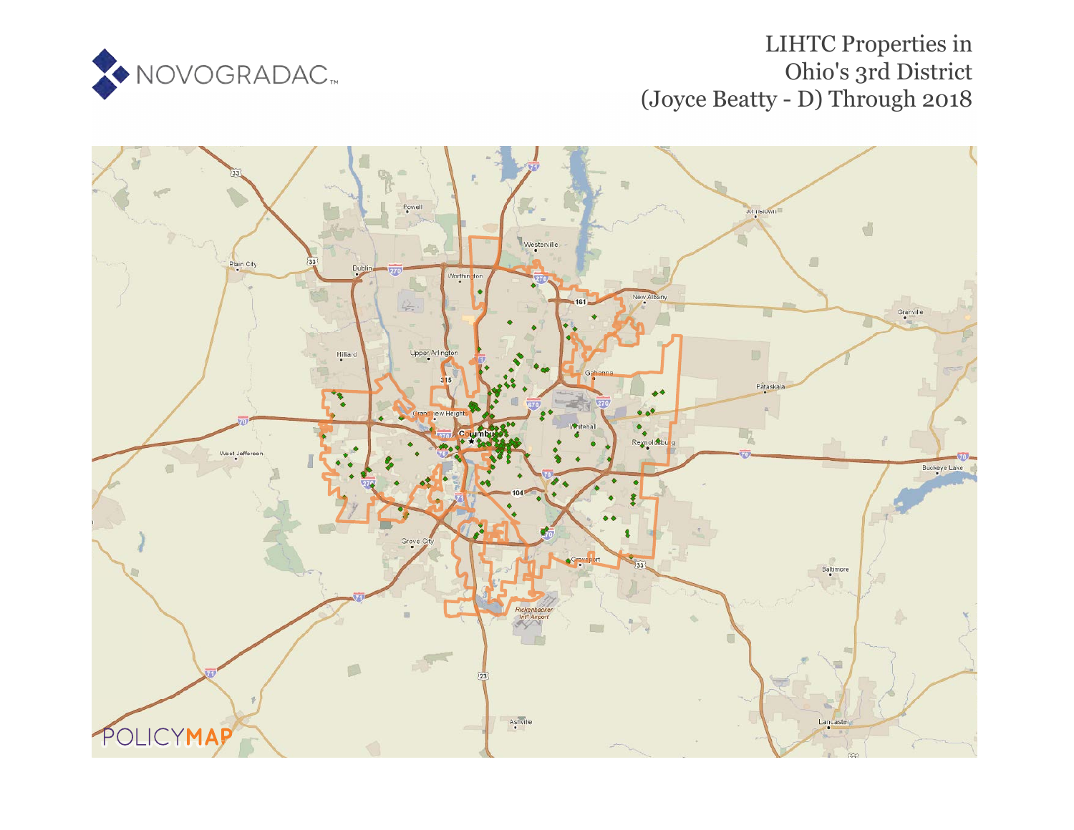

# LIHTC Properties in Ohio's 3rd District (Joyce Beatty - D) Through 2018

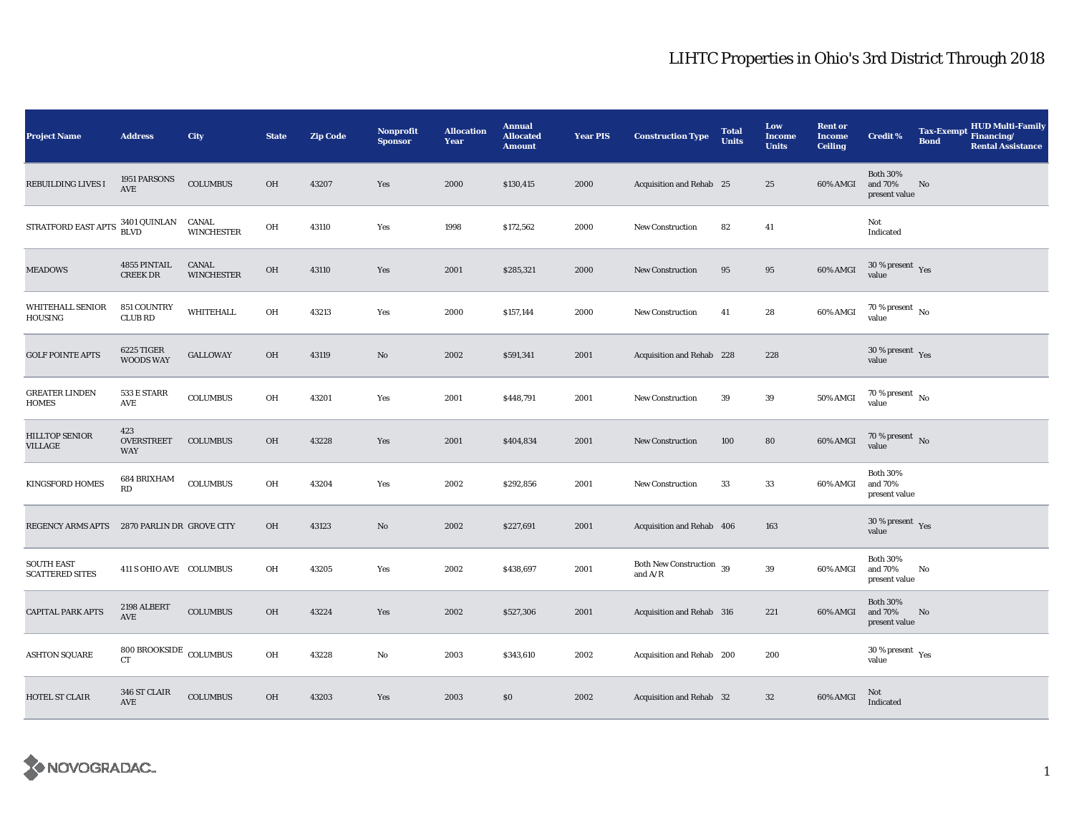| <b>Project Name</b>                         | <b>Address</b>                                 | <b>City</b>                | <b>State</b> | <b>Zip Code</b> | <b>Nonprofit</b><br><b>Sponsor</b> | <b>Allocation</b><br>Year | <b>Annual</b><br><b>Allocated</b><br><b>Amount</b> | <b>Year PIS</b> | <b>Construction Type</b>              | <b>Total</b><br><b>Units</b> | Low<br>Income<br><b>Units</b> | <b>Rent or</b><br><b>Income</b><br><b>Ceiling</b> | <b>Credit %</b>                             | <b>Tax-Exempt</b><br><b>Bond</b> | HUD Multi-Family<br>Financing/<br><b>Rental Assistance</b> |
|---------------------------------------------|------------------------------------------------|----------------------------|--------------|-----------------|------------------------------------|---------------------------|----------------------------------------------------|-----------------|---------------------------------------|------------------------------|-------------------------------|---------------------------------------------------|---------------------------------------------|----------------------------------|------------------------------------------------------------|
| REBUILDING LIVES I                          | 1951 PARSONS<br><b>AVE</b>                     | <b>COLUMBUS</b>            | OH           | 43207           | Yes                                | 2000                      | \$130,415                                          | 2000            | Acquisition and Rehab 25              |                              | 25                            | 60% AMGI                                          | <b>Both 30%</b><br>and 70%<br>present value | $\rm No$                         |                                                            |
| STRATFORD EAST APTS                         | 3401 QUINLAN<br><b>BLVD</b>                    | CANAL<br><b>WINCHESTER</b> | OH           | 43110           | Yes                                | 1998                      | \$172,562                                          | 2000            | <b>New Construction</b>               | 82                           | 41                            |                                                   | Not<br>Indicated                            |                                  |                                                            |
| <b>MEADOWS</b>                              | 4855 PINTAIL<br><b>CREEK DR</b>                | CANAL<br><b>WINCHESTER</b> | OH           | 43110           | Yes                                | 2001                      | \$285,321                                          | 2000            | New Construction                      | 95                           | 95                            | 60% AMGI                                          | $30\,\%$ present $\,$ Yes value             |                                  |                                                            |
| WHITEHALL SENIOR<br>HOUSING                 | 851 COUNTRY<br><b>CLUB RD</b>                  | <b>WHITEHALL</b>           | OH           | 43213           | Yes                                | 2000                      | \$157,144                                          | 2000            | New Construction                      | 41                           | 28                            | 60% AMGI                                          | 70 % present $\hbox{~No}$<br>value          |                                  |                                                            |
| <b>GOLF POINTE APTS</b>                     | 6225 TIGER<br><b>WOODS WAY</b>                 | <b>GALLOWAY</b>            | OH           | 43119           | $\mathbf{No}$                      | 2002                      | \$591,341                                          | 2001            | Acquisition and Rehab 228             |                              | 228                           |                                                   | $30$ % present $\,$ $\rm Yes$<br>value      |                                  |                                                            |
| <b>GREATER LINDEN</b><br><b>HOMES</b>       | $533$ E STARR<br><b>AVE</b>                    | <b>COLUMBUS</b>            | OH           | 43201           | Yes                                | 2001                      | \$448,791                                          | 2001            | <b>New Construction</b>               | 39                           | 39                            | 50% AMGI                                          | $70$ % present $\,$ No $\,$<br>value        |                                  |                                                            |
| <b>HILLTOP SENIOR</b><br><b>VILLAGE</b>     | 423<br><b>OVERSTREET</b><br><b>WAY</b>         | <b>COLUMBUS</b>            | <b>OH</b>    | 43228           | Yes                                | 2001                      | \$404,834                                          | 2001            | <b>New Construction</b>               | 100                          | 80                            | 60% AMGI                                          | 70 % present $\,$ No $\,$<br>value          |                                  |                                                            |
| KINGSFORD HOMES                             | 684 BRIXHAM<br>RD                              | <b>COLUMBUS</b>            | OH           | 43204           | Yes                                | 2002                      | \$292,856                                          | 2001            | <b>New Construction</b>               | 33                           | 33                            | 60% AMGI                                          | <b>Both 30%</b><br>and 70%<br>present value |                                  |                                                            |
| REGENCY ARMS APTS                           | 2870 PARLIN DR GROVE CITY                      |                            | OH           | 43123           | No                                 | 2002                      | \$227,691                                          | 2001            | Acquisition and Rehab 406             |                              | 163                           |                                                   | 30 % present $\gamma_{\rm{es}}$<br>value    |                                  |                                                            |
| <b>SOUTH EAST</b><br><b>SCATTERED SITES</b> | 411 S OHIO AVE COLUMBUS                        |                            | OH           | 43205           | Yes                                | 2002                      | \$438,697                                          | 2001            | Both New Construction 39<br>and $A/R$ |                              | $\bf 39$                      | 60% AMGI                                          | <b>Both 30%</b><br>and 70%<br>present value | No                               |                                                            |
| <b>CAPITAL PARK APTS</b>                    | 2198 ALBERT<br><b>AVE</b>                      | <b>COLUMBUS</b>            | OH           | 43224           | Yes                                | 2002                      | \$527,306                                          | 2001            | Acquisition and Rehab 316             |                              | 221                           | 60% AMGI                                          | <b>Both 30%</b><br>and 70%<br>present value | No                               |                                                            |
| <b>ASHTON SQUARE</b>                        | $800$ BROOKSIDE $_{\rm COLUMBUS}$<br><b>CT</b> |                            | OH           | 43228           | No                                 | 2003                      | \$343,610                                          | 2002            | Acquisition and Rehab 200             |                              | 200                           |                                                   | 30 % present $\rm\,Yes$<br>value            |                                  |                                                            |
| HOTEL ST CLAIR                              | 346 ST CLAIR<br>AVE                            | <b>COLUMBUS</b>            | OH           | 43203           | Yes                                | 2003                      | \$0                                                | 2002            | Acquisition and Rehab 32              |                              | $32\,$                        | 60% AMGI                                          | Not<br>Indicated                            |                                  |                                                            |

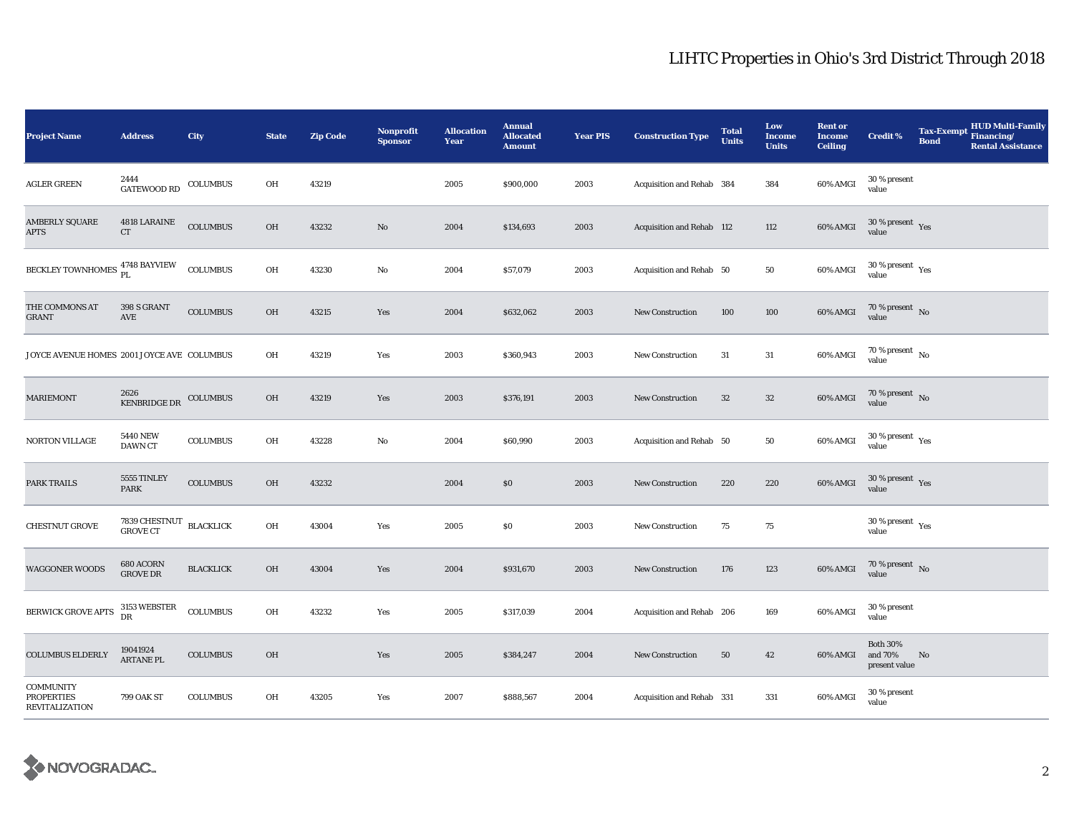| <b>Project Name</b>                                     | <b>Address</b>                                                         | City             | <b>State</b> | <b>Zip Code</b> | <b>Nonprofit</b><br><b>Sponsor</b> | <b>Allocation</b><br>Year | <b>Annual</b><br><b>Allocated</b><br><b>Amount</b> | <b>Year PIS</b> | <b>Construction Type</b>  | <b>Total</b><br><b>Units</b> | Low<br><b>Income</b><br><b>Units</b> | <b>Rent or</b><br><b>Income</b><br><b>Ceiling</b> | <b>Credit %</b>                             | <b>Tax-Exempt</b><br><b>Bond</b> | <b>HUD Multi-Family</b><br>Financing/<br><b>Rental Assistance</b> |
|---------------------------------------------------------|------------------------------------------------------------------------|------------------|--------------|-----------------|------------------------------------|---------------------------|----------------------------------------------------|-----------------|---------------------------|------------------------------|--------------------------------------|---------------------------------------------------|---------------------------------------------|----------------------------------|-------------------------------------------------------------------|
| <b>AGLER GREEN</b>                                      | 2444<br>GATEWOOD RD                                                    | COLUMBUS         | OH           | 43219           |                                    | 2005                      | \$900,000                                          | 2003            | Acquisition and Rehab 384 |                              | 384                                  | 60% AMGI                                          | 30 % present<br>value                       |                                  |                                                                   |
| <b>AMBERLY SQUARE</b><br>APTS                           | 4818 LARAINE<br>CT                                                     | <b>COLUMBUS</b>  | OH           | 43232           | $\mathbf{N}\mathbf{o}$             | 2004                      | \$134,693                                          | 2003            | Acquisition and Rehab 112 |                              | 112                                  | 60% AMGI                                          | $30\,\%$ present $\,$ $\rm Yes$<br>value    |                                  |                                                                   |
| BECKLEY TOWNHOMES <sup>4748</sup> BAYVIEW               |                                                                        | COLUMBUS         | OH           | 43230           | $\mathbf{No}$                      | 2004                      | \$57,079                                           | 2003            | Acquisition and Rehab 50  |                              | ${\bf 50}$                           | 60% AMGI                                          | $30\,\%$ present $\,$ Yes value             |                                  |                                                                   |
| THE COMMONS AT<br><b>GRANT</b>                          | 398 S GRANT<br>AVE                                                     | <b>COLUMBUS</b>  | OH           | 43215           | Yes                                | 2004                      | \$632,062                                          | 2003            | New Construction          | 100                          | 100                                  | 60% AMGI                                          | $70\,\%$ present $\,$ No value              |                                  |                                                                   |
| JOYCE AVENUE HOMES 2001 JOYCE AVE COLUMBUS              |                                                                        |                  | OH           | 43219           | Yes                                | 2003                      | \$360,943                                          | 2003            | New Construction          | 31                           | 31                                   | 60% AMGI                                          | 70 % present $\hbox{~No}$<br>value          |                                  |                                                                   |
| <b>MARIEMONT</b>                                        | 2626<br>$\begin{array}{ll} \textbf{KENBRIDGE} \textbf{DR} \end{array}$ | <b>COLUMBUS</b>  | OH           | 43219           | Yes                                | 2003                      | \$376,191                                          | 2003            | New Construction          | $32\,$                       | $32\,$                               | 60% AMGI                                          | $70\,\%$ present $\,$ No value              |                                  |                                                                   |
| <b>NORTON VILLAGE</b>                                   | <b>5440 NEW</b><br><b>DAWN CT</b>                                      | <b>COLUMBUS</b>  | OH           | 43228           | $\mathbf{No}$                      | 2004                      | \$60,990                                           | 2003            | Acquisition and Rehab 50  |                              | 50                                   | 60% AMGI                                          | $30\,\%$ present $\,$ $\rm Yes$<br>value    |                                  |                                                                   |
| PARK TRAILS                                             | 5555 TINLEY<br><b>PARK</b>                                             | <b>COLUMBUS</b>  | OH           | 43232           |                                    | 2004                      | $\$0$                                              | 2003            | New Construction          | 220                          | 220                                  | 60% AMGI                                          | $30\,\%$ present $\,$ Yes<br>value          |                                  |                                                                   |
| <b>CHESTNUT GROVE</b>                                   | 7839 CHESTNUT<br>GROVE CT                                              | <b>BLACKLICK</b> | OH           | 43004           | Yes                                | 2005                      | \$0                                                | 2003            | New Construction          | 75                           | 75                                   |                                                   | $30\,\%$ present $\,$ Yes value             |                                  |                                                                   |
| <b>WAGGONER WOODS</b>                                   | 680 ACORN<br><b>GROVE DR</b>                                           | <b>BLACKLICK</b> | OH           | 43004           | Yes                                | 2004                      | \$931,670                                          | 2003            | <b>New Construction</b>   | 176                          | 123                                  | 60% AMGI                                          | $70\,\%$ present $\,$ No value              |                                  |                                                                   |
| BERWICK GROVE APTS                                      | 3153 WEBSTER<br>DR                                                     | <b>COLUMBUS</b>  | OH           | 43232           | Yes                                | 2005                      | \$317,039                                          | 2004            | Acquisition and Rehab 206 |                              | 169                                  | 60% AMGI                                          | 30 % present<br>value                       |                                  |                                                                   |
| <b>COLUMBUS ELDERLY</b>                                 | 19041924<br>ARTANE PL                                                  | <b>COLUMBUS</b>  | OH           |                 | Yes                                | 2005                      | \$384,247                                          | 2004            | New Construction          | 50                           | 42                                   | 60% AMGI                                          | <b>Both 30%</b><br>and 70%<br>present value | No                               |                                                                   |
| COMMUNITY<br><b>PROPERTIES</b><br><b>REVITALIZATION</b> | 799 OAK ST                                                             | <b>COLUMBUS</b>  | OH           | 43205           | Yes                                | 2007                      | \$888,567                                          | 2004            | Acquisition and Rehab 331 |                              | 331                                  | 60% AMGI                                          | 30 % present<br>value                       |                                  |                                                                   |

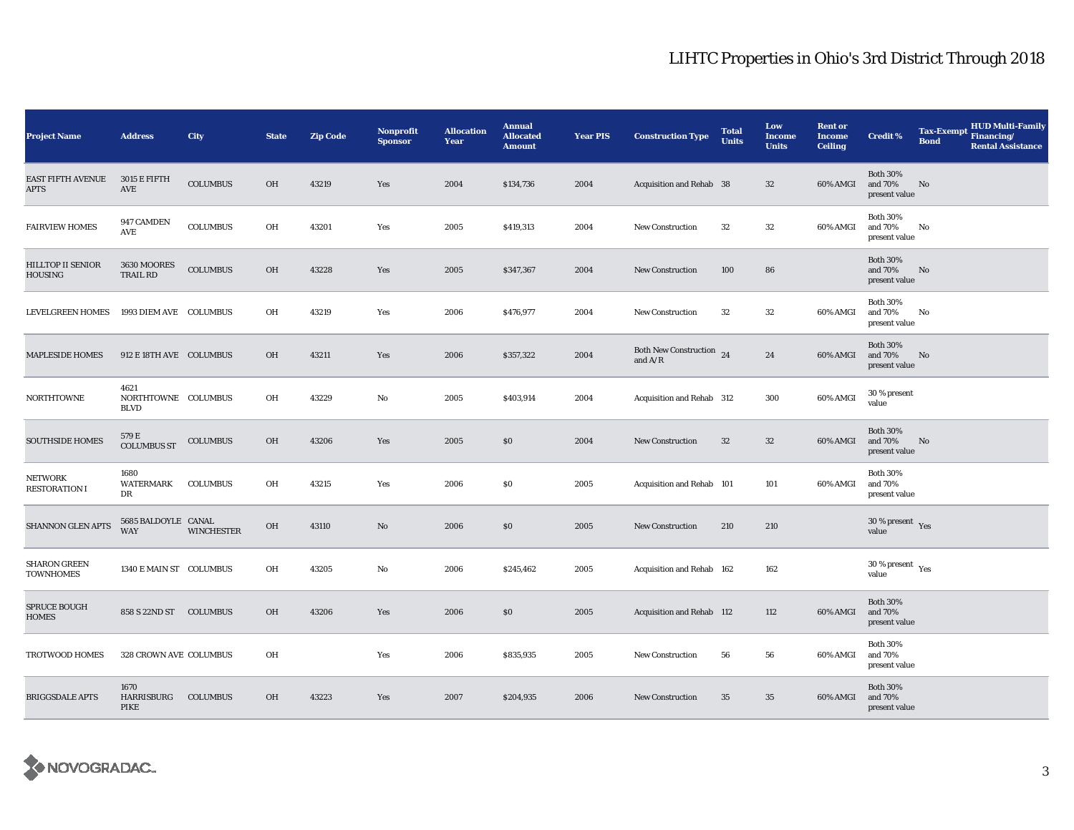| <b>Project Name</b>                     | <b>Address</b>                             | City              | <b>State</b> | <b>Zip Code</b> | <b>Nonprofit</b><br><b>Sponsor</b> | <b>Allocation</b><br>Year | <b>Annual</b><br><b>Allocated</b><br><b>Amount</b> | <b>Year PIS</b> | <b>Construction Type</b>              | <b>Total</b><br><b>Units</b> | Low<br><b>Income</b><br><b>Units</b> | <b>Rent or</b><br><b>Income</b><br><b>Ceiling</b> | <b>Credit %</b>                             | <b>Tax-Exempt</b><br><b>Bond</b> | <b>HUD Multi-Family</b><br>Financing/<br><b>Rental Assistance</b> |
|-----------------------------------------|--------------------------------------------|-------------------|--------------|-----------------|------------------------------------|---------------------------|----------------------------------------------------|-----------------|---------------------------------------|------------------------------|--------------------------------------|---------------------------------------------------|---------------------------------------------|----------------------------------|-------------------------------------------------------------------|
| <b>EAST FIFTH AVENUE</b><br><b>APTS</b> | 3015 E FIFTH<br>AVE                        | <b>COLUMBUS</b>   | <b>OH</b>    | 43219           | Yes                                | 2004                      | \$134,736                                          | 2004            | Acquisition and Rehab 38              |                              | 32                                   | 60% AMGI                                          | <b>Both 30%</b><br>and 70%<br>present value | No                               |                                                                   |
| <b>FAIRVIEW HOMES</b>                   | 947 CAMDEN<br>AVE                          | <b>COLUMBUS</b>   | OH           | 43201           | Yes                                | 2005                      | \$419,313                                          | 2004            | <b>New Construction</b>               | 32                           | 32                                   | 60% AMGI                                          | <b>Both 30%</b><br>and 70%<br>present value | No                               |                                                                   |
| HILLTOP II SENIOR<br><b>HOUSING</b>     | 3630 MOORES<br><b>TRAIL RD</b>             | <b>COLUMBUS</b>   | OH           | 43228           | Yes                                | 2005                      | \$347,367                                          | 2004            | <b>New Construction</b>               | 100                          | 86                                   |                                                   | <b>Both 30%</b><br>and 70%<br>present value | No                               |                                                                   |
| <b>LEVELGREEN HOMES</b>                 | 1993 DIEM AVE COLUMBUS                     |                   | OH           | 43219           | Yes                                | 2006                      | \$476,977                                          | 2004            | <b>New Construction</b>               | 32                           | 32                                   | 60% AMGI                                          | <b>Both 30%</b><br>and 70%<br>present value | No                               |                                                                   |
| <b>MAPLESIDE HOMES</b>                  | 912 E 18TH AVE COLUMBUS                    |                   | <b>OH</b>    | 43211           | Yes                                | 2006                      | \$357,322                                          | 2004            | Both New Construction 24<br>and $A/R$ |                              | 24                                   | 60% AMGI                                          | <b>Both 30%</b><br>and 70%<br>present value | No                               |                                                                   |
| <b>NORTHTOWNE</b>                       | 4621<br>NORTHTOWNE COLUMBUS<br><b>BLVD</b> |                   | OH           | 43229           | $\mathbf{No}$                      | 2005                      | \$403,914                                          | 2004            | Acquisition and Rehab 312             |                              | 300                                  | 60% AMGI                                          | 30 % present<br>value                       |                                  |                                                                   |
| <b>SOUTHSIDE HOMES</b>                  | 579 E<br><b>COLUMBUS ST</b>                | <b>COLUMBUS</b>   | OH           | 43206           | Yes                                | 2005                      | \$0                                                | 2004            | New Construction                      | 32                           | $32\,$                               | 60% AMGI                                          | <b>Both 30%</b><br>and 70%<br>present value | $\mathbf{No}$                    |                                                                   |
| <b>NETWORK</b><br><b>RESTORATION I</b>  | 1680<br>WATERMARK<br>DR                    | <b>COLUMBUS</b>   | OH           | 43215           | Yes                                | 2006                      | \$0                                                | 2005            | Acquisition and Rehab 101             |                              | 101                                  | 60% AMGI                                          | <b>Both 30%</b><br>and 70%<br>present value |                                  |                                                                   |
| SHANNON GLEN APTS                       | 5685 BALDOYLE CANAL<br><b>WAY</b>          | <b>WINCHESTER</b> | OH           | 43110           | $\mathbf{N}\mathbf{o}$             | 2006                      | \$0                                                | 2005            | <b>New Construction</b>               | 210                          | 210                                  |                                                   | 30 % present $\gamma_{\rm{es}}$<br>value    |                                  |                                                                   |
| <b>SHARON GREEN</b><br><b>TOWNHOMES</b> | 1340 E MAIN ST COLUMBUS                    |                   | OH           | 43205           | No                                 | 2006                      | \$245,462                                          | 2005            | Acquisition and Rehab 162             |                              | 162                                  |                                                   | $30\,\%$ present $\,$ $\rm{Yes}$<br>value   |                                  |                                                                   |
| SPRUCE BOUGH<br><b>HOMES</b>            | 858 S 22ND ST COLUMBUS                     |                   | OH           | 43206           | Yes                                | 2006                      | \$0                                                | 2005            | Acquisition and Rehab 112             |                              | 112                                  | 60% AMGI                                          | <b>Both 30%</b><br>and 70%<br>present value |                                  |                                                                   |
| <b>TROTWOOD HOMES</b>                   | 328 CROWN AVE COLUMBUS                     |                   | OH           |                 | Yes                                | 2006                      | \$835,935                                          | 2005            | <b>New Construction</b>               | 56                           | 56                                   | 60% AMGI                                          | <b>Both 30%</b><br>and 70%<br>present value |                                  |                                                                   |
| <b>BRIGGSDALE APTS</b>                  | 1670<br>HARRISBURG<br>PIKE                 | <b>COLUMBUS</b>   | OH           | 43223           | Yes                                | 2007                      | \$204,935                                          | 2006            | <b>New Construction</b>               | 35                           | $35\,$                               | 60% AMGI                                          | <b>Both 30%</b><br>and 70%<br>present value |                                  |                                                                   |

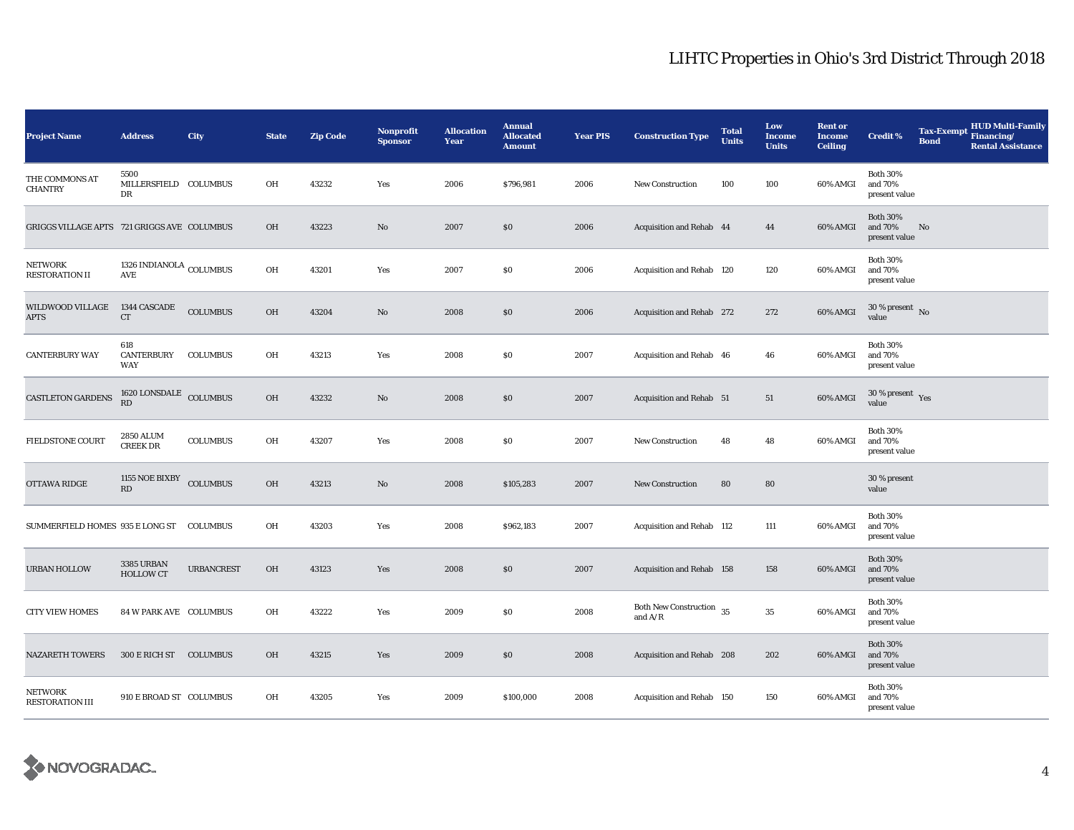| <b>Project Name</b>                         | <b>Address</b>                                 | City              | <b>State</b> | <b>Zip Code</b> | <b>Nonprofit</b><br><b>Sponsor</b> | <b>Allocation</b><br>Year | <b>Annual</b><br><b>Allocated</b><br><b>Amount</b> | <b>Year PIS</b> | <b>Construction Type</b>                                     | <b>Total</b><br><b>Units</b> | Low<br><b>Income</b><br><b>Units</b> | <b>Rent or</b><br><b>Income</b><br><b>Ceiling</b> | <b>Credit %</b>                             | <b>Tax-Exempt</b><br><b>Bond</b> | <b>HUD Multi-Family</b><br>Financing/<br><b>Rental Assistance</b> |
|---------------------------------------------|------------------------------------------------|-------------------|--------------|-----------------|------------------------------------|---------------------------|----------------------------------------------------|-----------------|--------------------------------------------------------------|------------------------------|--------------------------------------|---------------------------------------------------|---------------------------------------------|----------------------------------|-------------------------------------------------------------------|
| THE COMMONS AT<br><b>CHANTRY</b>            | 5500<br>MILLERSFIELD COLUMBUS<br>DR            |                   | OH           | 43232           | Yes                                | 2006                      | \$796,981                                          | 2006            | New Construction                                             | 100                          | 100                                  | 60% AMGI                                          | <b>Both 30%</b><br>and 70%<br>present value |                                  |                                                                   |
| GRIGGS VILLAGE APTS 721 GRIGGS AVE COLUMBUS |                                                |                   | OH           | 43223           | $\rm No$                           | 2007                      | \$0                                                | 2006            | Acquisition and Rehab 44                                     |                              | 44                                   | 60% AMGI                                          | <b>Both 30%</b><br>and 70%<br>present value | No                               |                                                                   |
| <b>NETWORK</b><br><b>RESTORATION II</b>     | 1326 INDIANOLA $_{\rm COLUMBUS}$<br><b>AVE</b> |                   | OH           | 43201           | Yes                                | 2007                      | \$0                                                | 2006            | Acquisition and Rehab 120                                    |                              | 120                                  | 60% AMGI                                          | <b>Both 30%</b><br>and 70%<br>present value |                                  |                                                                   |
| WILDWOOD VILLAGE<br><b>APTS</b>             | 1344 CASCADE<br>CT                             | <b>COLUMBUS</b>   | OH           | 43204           | $\rm No$                           | 2008                      | $\$0$                                              | 2006            | Acquisition and Rehab 272                                    |                              | 272                                  | 60% AMGI                                          | $30$ % present $\,$ No $\,$<br>value        |                                  |                                                                   |
| <b>CANTERBURY WAY</b>                       | 618<br>CANTERBURY<br>WAY                       | <b>COLUMBUS</b>   | OH           | 43213           | Yes                                | 2008                      | \$0                                                | 2007            | Acquisition and Rehab 46                                     |                              | 46                                   | 60% AMGI                                          | <b>Both 30%</b><br>and 70%<br>present value |                                  |                                                                   |
| CASTLETON GARDENS                           | $1620$ LONSDALE $\,$ COLUMBUS $\,$ RD          |                   | OH           | 43232           | $\mathbf{N}\mathbf{o}$             | 2008                      | \$0                                                | 2007            | Acquisition and Rehab 51                                     |                              | 51                                   | 60% AMGI                                          | $30\,\%$ present $\,$ $\rm Yes$<br>value    |                                  |                                                                   |
| <b>FIELDSTONE COURT</b>                     | <b>2850 ALUM</b><br><b>CREEK DR</b>            | <b>COLUMBUS</b>   | OH           | 43207           | Yes                                | 2008                      | \$0                                                | 2007            | <b>New Construction</b>                                      | 48                           | 48                                   | 60% AMGI                                          | <b>Both 30%</b><br>and 70%<br>present value |                                  |                                                                   |
| OTTAWA RIDGE                                | 1155 NOE BIXBY<br>RD                           | <b>COLUMBUS</b>   | OH           | 43213           | $\mathbf{N}\mathbf{o}$             | 2008                      | \$105,283                                          | 2007            | <b>New Construction</b>                                      | 80                           | 80                                   |                                                   | 30 % present<br>value                       |                                  |                                                                   |
| SUMMERFIELD HOMES 935 E LONG ST COLUMBUS    |                                                |                   | OH           | 43203           | Yes                                | 2008                      | \$962,183                                          | 2007            | <b>Acquisition and Rehab 112</b>                             |                              | 111                                  | 60% AMGI                                          | <b>Both 30%</b><br>and 70%<br>present value |                                  |                                                                   |
| <b>URBAN HOLLOW</b>                         | 3385 URBAN<br><b>HOLLOW CT</b>                 | <b>URBANCREST</b> | OH           | 43123           | Yes                                | 2008                      | \$0                                                | 2007            | Acquisition and Rehab 158                                    |                              | 158                                  | 60% AMGI                                          | <b>Both 30%</b><br>and 70%<br>present value |                                  |                                                                   |
| <b>CITY VIEW HOMES</b>                      | 84 W PARK AVE COLUMBUS                         |                   | OH           | 43222           | Yes                                | 2009                      | \$0                                                | 2008            | Both New Construction $\,$ 35<br>and $\mathrm{A}/\mathrm{R}$ |                              | 35                                   | 60% AMGI                                          | <b>Both 30%</b><br>and 70%<br>present value |                                  |                                                                   |
| <b>NAZARETH TOWERS</b>                      | 300 E RICH ST COLUMBUS                         |                   | OH           | 43215           | Yes                                | 2009                      | \$0                                                | 2008            | Acquisition and Rehab 208                                    |                              | 202                                  | 60% AMGI                                          | <b>Both 30%</b><br>and 70%<br>present value |                                  |                                                                   |
| <b>NETWORK</b><br><b>RESTORATION III</b>    | 910 E BROAD ST COLUMBUS                        |                   | OH           | 43205           | Yes                                | 2009                      | \$100,000                                          | 2008            | Acquisition and Rehab 150                                    |                              | 150                                  | 60% AMGI                                          | <b>Both 30%</b><br>and 70%<br>present value |                                  |                                                                   |

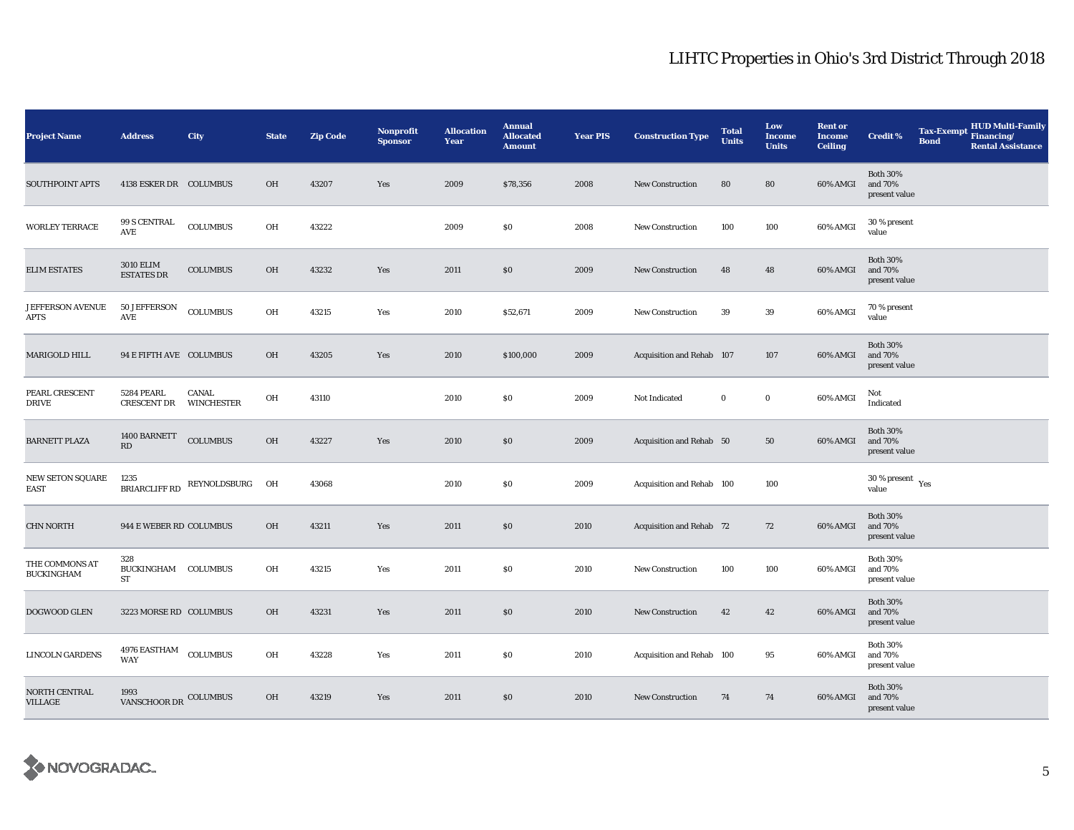| <b>Project Name</b>                 | <b>Address</b>                        | <b>City</b>                | <b>State</b> | <b>Zip Code</b> | <b>Nonprofit</b><br><b>Sponsor</b> | <b>Allocation</b><br>Year | <b>Annual</b><br><b>Allocated</b><br><b>Amount</b> | <b>Year PIS</b> | <b>Construction Type</b>  | <b>Total</b><br><b>Units</b> | Low<br><b>Income</b><br><b>Units</b> | <b>Rent or</b><br><b>Income</b><br><b>Ceiling</b> | <b>Credit %</b>                             | <b>Tax-Exempt</b><br><b>Bond</b> | <b>HUD Multi-Family</b><br>Financing/<br><b>Rental Assistance</b> |
|-------------------------------------|---------------------------------------|----------------------------|--------------|-----------------|------------------------------------|---------------------------|----------------------------------------------------|-----------------|---------------------------|------------------------------|--------------------------------------|---------------------------------------------------|---------------------------------------------|----------------------------------|-------------------------------------------------------------------|
| SOUTHPOINT APTS                     | 4138 ESKER DR COLUMBUS                |                            | OH           | 43207           | Yes                                | 2009                      | \$78,356                                           | 2008            | New Construction          | 80                           | 80                                   | 60% AMGI                                          | <b>Both 30%</b><br>and 70%<br>present value |                                  |                                                                   |
| <b>WORLEY TERRACE</b>               | 99 S CENTRAL<br>AVE                   | <b>COLUMBUS</b>            | OH           | 43222           |                                    | 2009                      | \$0                                                | 2008            | <b>New Construction</b>   | 100                          | 100                                  | 60% AMGI                                          | 30 % present<br>value                       |                                  |                                                                   |
| <b>ELIM ESTATES</b>                 | <b>3010 ELIM</b><br><b>ESTATES DR</b> | <b>COLUMBUS</b>            | OH           | 43232           | Yes                                | 2011                      | \$0                                                | 2009            | <b>New Construction</b>   | 48                           | 48                                   | 60% AMGI                                          | <b>Both 30%</b><br>and 70%<br>present value |                                  |                                                                   |
| <b>JEFFERSON AVENUE</b><br>APTS     | 50 JEFFERSON<br>AVE                   | <b>COLUMBUS</b>            | OH           | 43215           | Yes                                | 2010                      | \$52,671                                           | 2009            | <b>New Construction</b>   | 39                           | 39                                   | 60% AMGI                                          | 70 % present<br>value                       |                                  |                                                                   |
| MARIGOLD HILL                       | 94 E FIFTH AVE COLUMBUS               |                            | OH           | 43205           | Yes                                | 2010                      | \$100,000                                          | 2009            | Acquisition and Rehab 107 |                              | 107                                  | 60% AMGI                                          | <b>Both 30%</b><br>and 70%<br>present value |                                  |                                                                   |
| PEARL CRESCENT<br>DRIVE             | 5284 PEARL<br><b>CRESCENT DR</b>      | CANAL<br><b>WINCHESTER</b> | OH           | 43110           |                                    | 2010                      | \$0                                                | 2009            | Not Indicated             | $\bf{0}$                     | $\bf{0}$                             | 60% AMGI                                          | Not<br>Indicated                            |                                  |                                                                   |
| <b>BARNETT PLAZA</b>                | 1400 BARNETT<br>RD                    | <b>COLUMBUS</b>            | OH           | 43227           | Yes                                | 2010                      | \$0                                                | 2009            | Acquisition and Rehab 50  |                              | 50                                   | 60% AMGI                                          | <b>Both 30%</b><br>and 70%<br>present value |                                  |                                                                   |
| NEW SETON SQUARE<br><b>EAST</b>     | 1235<br><b>BRIARCLIFF RD</b>          | REYNOLDSBURG               | OH           | 43068           |                                    | 2010                      | \$0                                                | 2009            | Acquisition and Rehab 100 |                              | 100                                  |                                                   | $30$ % present $\,$ $\rm Yes$<br>value      |                                  |                                                                   |
| <b>CHN NORTH</b>                    | 944 E WEBER RD COLUMBUS               |                            | OH           | 43211           | Yes                                | 2011                      | $\$0$                                              | 2010            | Acquisition and Rehab 72  |                              | 72                                   | 60% AMGI                                          | <b>Both 30%</b><br>and 70%<br>present value |                                  |                                                                   |
| THE COMMONS AT<br><b>BUCKINGHAM</b> | 328<br>BUCKINGHAM COLUMBUS<br>ST      |                            | OH           | 43215           | Yes                                | 2011                      | \$0                                                | 2010            | <b>New Construction</b>   | 100                          | 100                                  | 60% AMGI                                          | <b>Both 30%</b><br>and 70%<br>present value |                                  |                                                                   |
| DOGWOOD GLEN                        | 3223 MORSE RD COLUMBUS                |                            | OH           | 43231           | Yes                                | 2011                      | \$0                                                | 2010            | New Construction          | 42                           | 42                                   | 60% AMGI                                          | <b>Both 30%</b><br>and 70%<br>present value |                                  |                                                                   |
| <b>LINCOLN GARDENS</b>              | 4976 EASTHAM<br>WAY                   | <b>COLUMBUS</b>            | OH           | 43228           | Yes                                | 2011                      | \$0                                                | 2010            | Acquisition and Rehab 100 |                              | 95                                   | 60% AMGI                                          | <b>Both 30%</b><br>and 70%<br>present value |                                  |                                                                   |
| NORTH CENTRAL<br>VILLAGE            | 1993<br>VANSCHOOR DR COLUMBUS         |                            | OH           | 43219           | Yes                                | 2011                      | \$0                                                | 2010            | New Construction          | 74                           | 74                                   | 60% AMGI                                          | <b>Both 30%</b><br>and 70%<br>present value |                                  |                                                                   |

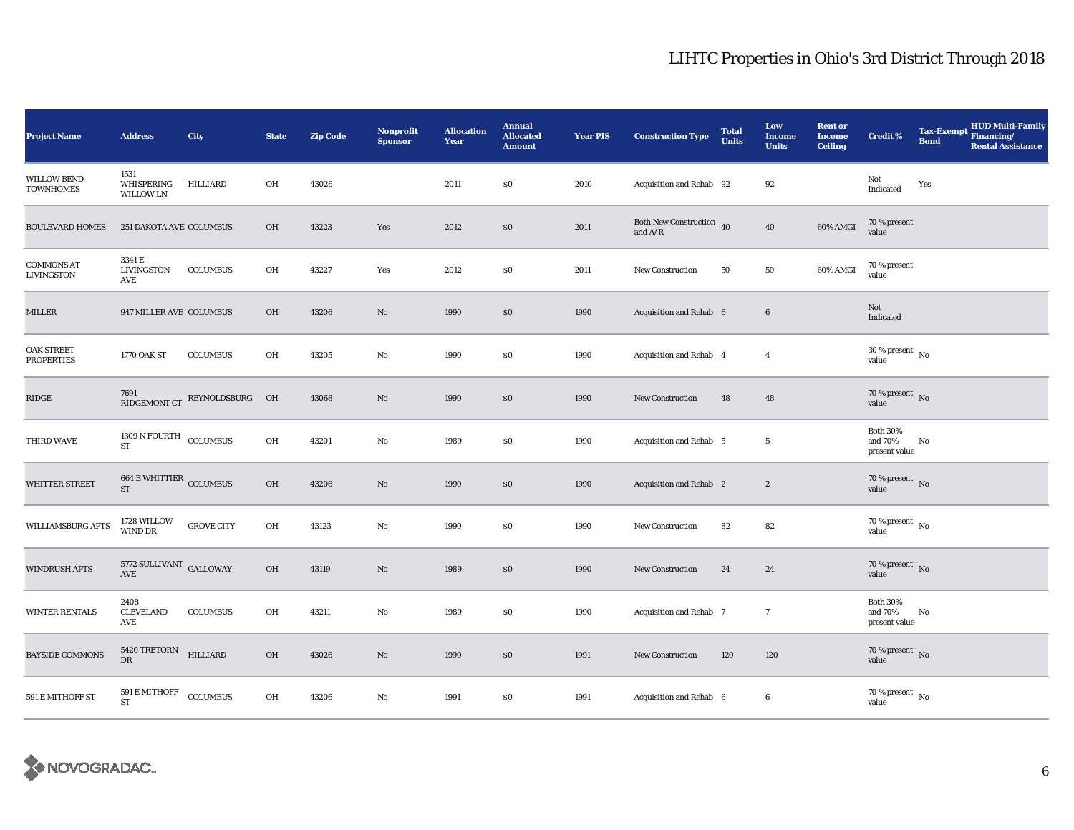| <b>Project Name</b>                    | <b>Address</b>                              | City              | <b>State</b> | <b>Zip Code</b> | <b>Nonprofit</b><br><b>Sponsor</b> | <b>Allocation</b><br>Year | <b>Annual</b><br><b>Allocated</b><br><b>Amount</b> | <b>Year PIS</b> | <b>Construction Type</b>                                                          | <b>Total</b><br><b>Units</b> | Low<br><b>Income</b><br><b>Units</b> | <b>Rent or</b><br><b>Income</b><br><b>Ceiling</b> | <b>Credit %</b>                             | <b>Bond</b> | <b>HUD Multi-Family</b><br>Tax-Exempt Financing/<br><b>Rental Assistance</b> |
|----------------------------------------|---------------------------------------------|-------------------|--------------|-----------------|------------------------------------|---------------------------|----------------------------------------------------|-----------------|-----------------------------------------------------------------------------------|------------------------------|--------------------------------------|---------------------------------------------------|---------------------------------------------|-------------|------------------------------------------------------------------------------|
| <b>WILLOW BEND</b><br><b>TOWNHOMES</b> | 1531<br>WHISPERING<br><b>WILLOW LN</b>      | HILLIARD          | OH           | 43026           |                                    | 2011                      | \$0                                                | 2010            | Acquisition and Rehab 92                                                          |                              | 92                                   |                                                   | Not<br>$\operatorname{Indicated}$           | Yes         |                                                                              |
| <b>BOULEVARD HOMES</b>                 | <b>251 DAKOTA AVE COLUMBUS</b>              |                   | OH           | 43223           | Yes                                | 2012                      | \$0                                                | 2011            | Both New Construction 40<br>and $\ensuremath{\mathrm{A}}/\ensuremath{\mathrm{R}}$ |                              | 40                                   | 60% AMGI                                          | 70 % present<br>value                       |             |                                                                              |
| <b>COMMONS AT</b><br><b>LIVINGSTON</b> | 3341 E<br><b>LIVINGSTON</b><br>AVE          | <b>COLUMBUS</b>   | OH           | 43227           | Yes                                | 2012                      | \$0                                                | 2011            | New Construction                                                                  | 50                           | 50                                   | 60% AMGI                                          | 70 % present<br>value                       |             |                                                                              |
| MILLER                                 | 947 MILLER AVE COLUMBUS                     |                   | OH           | 43206           | $\mathbf{N}\mathbf{o}$             | 1990                      | \$0                                                | 1990            | Acquisition and Rehab 6                                                           |                              | $\bf{6}$                             |                                                   | Not<br><b>Indicated</b>                     |             |                                                                              |
| <b>OAK STREET</b><br><b>PROPERTIES</b> | 1770 OAK ST                                 | <b>COLUMBUS</b>   | OH           | 43205           | $\rm No$                           | 1990                      | \$0                                                | 1990            | Acquisition and Rehab 4                                                           |                              | $\overline{4}$                       |                                                   | $30$ % present $\,$ No $\,$<br>value        |             |                                                                              |
| RIDGE                                  | 7691<br>RIDGEMONT CT                        | REYNOLDSBURG OH   |              | 43068           | No                                 | 1990                      | \$0                                                | 1990            | <b>New Construction</b>                                                           | 48                           | 48                                   |                                                   | $70\,\%$ present $${\rm No}$$ value         |             |                                                                              |
| THIRD WAVE                             | $1309$ N FOURTH $\,$ COLUMBUS<br>ST         |                   | OH           | 43201           | $\rm No$                           | 1989                      | \$0                                                | 1990            | Acquisition and Rehab 5                                                           |                              | $5\phantom{.0}$                      |                                                   | <b>Both 30%</b><br>and 70%<br>present value | No          |                                                                              |
| <b>WHITTER STREET</b>                  | <b>664 E WHITTIER COLUMBUS</b><br><b>ST</b> |                   | OH           | 43206           | $\rm No$                           | 1990                      | \$0                                                | 1990            | <b>Acquisition and Rehab</b> 2                                                    |                              | $\boldsymbol{2}$                     |                                                   | $70\,\%$ present $\,$ No value              |             |                                                                              |
| WILLIAMSBURG APTS                      | 1728 WILLOW<br>WIND DR                      | <b>GROVE CITY</b> | OH           | 43123           | $\rm No$                           | 1990                      | \$0                                                | 1990            | <b>New Construction</b>                                                           | 82                           | 82                                   |                                                   | $70$ % present $\,$ No $\,$<br>value        |             |                                                                              |
| <b>WINDRUSH APTS</b>                   | 5772 SULLIVANT $_{\rm GALLOWAY}$<br>AVE     |                   | OH           | 43119           | $\rm No$                           | 1989                      | \$0                                                | 1990            | <b>New Construction</b>                                                           | 24                           | 24                                   |                                                   | 70 % present $\hbox{~No}$<br>value          |             |                                                                              |
| <b>WINTER RENTALS</b>                  | 2408<br><b>CLEVELAND</b><br>AVE             | <b>COLUMBUS</b>   | OH           | 43211           | $\rm No$                           | 1989                      | \$0                                                | 1990            | Acquisition and Rehab 7                                                           |                              | $\tau$                               |                                                   | <b>Both 30%</b><br>and 70%<br>present value | No          |                                                                              |
| <b>BAYSIDE COMMONS</b>                 | 5420 TRETORN<br>DR                          | <b>HILLIARD</b>   | OH           | 43026           | No                                 | 1990                      | \$0                                                | 1991            | <b>New Construction</b>                                                           | 120                          | 120                                  |                                                   | 70 % present $\overline{N}$<br>value        |             |                                                                              |
| 591 E MITHOFF ST                       | 591 E MITHOFF COLUMBUS<br>${\rm ST}$        |                   | OH           | 43206           | No                                 | 1991                      | \$0                                                | 1991            | Acquisition and Rehab 6                                                           |                              | 6                                    |                                                   | $70$ % present $_{\, \rm No}$<br>value      |             |                                                                              |

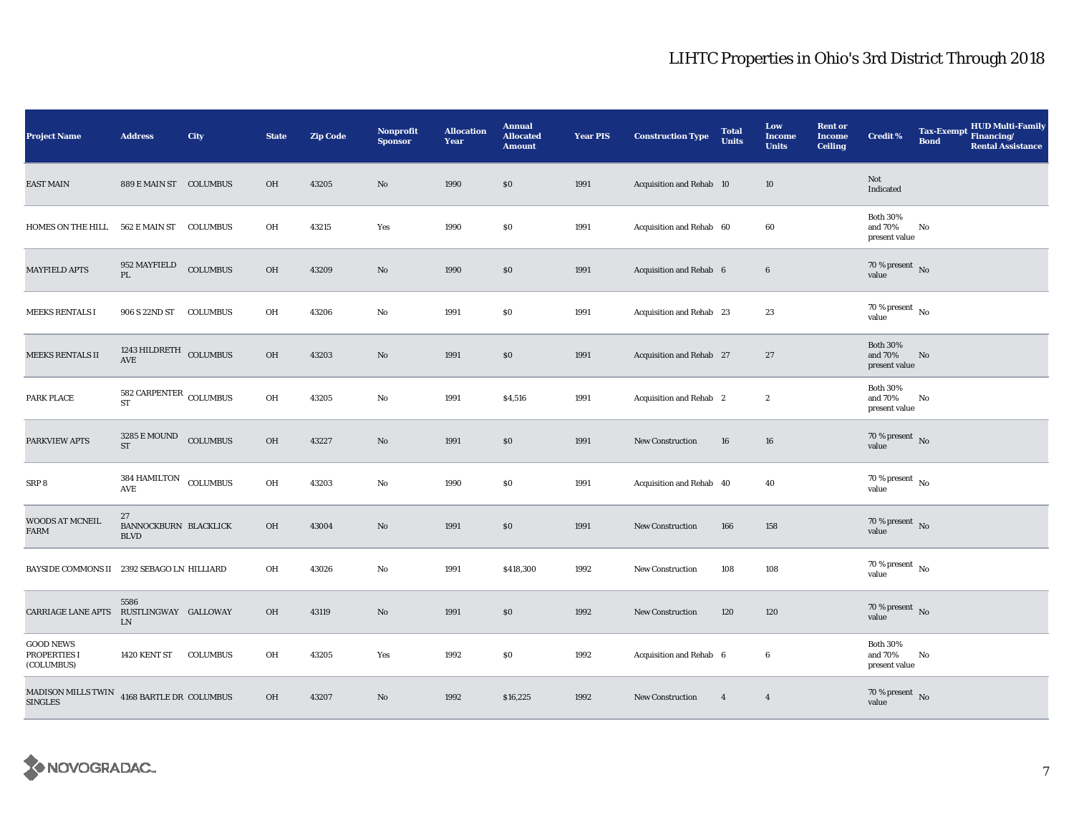| <b>Project Name</b>                            | <b>Address</b>                              | <b>City</b>     | <b>State</b> | <b>Zip Code</b> | <b>Nonprofit</b><br><b>Sponsor</b> | <b>Allocation</b><br>Year | <b>Annual</b><br><b>Allocated</b><br><b>Amount</b> | <b>Year PIS</b> | <b>Construction Type</b> | <b>Total</b><br><b>Units</b> | Low<br><b>Income</b><br><b>Units</b> | <b>Rent or</b><br><b>Income</b><br><b>Ceiling</b> | <b>Credit %</b>                             | <b>Tax-Exempt</b><br><b>Bond</b> | HUD Multi-Family<br>Financing/<br><b>Rental Assistance</b> |
|------------------------------------------------|---------------------------------------------|-----------------|--------------|-----------------|------------------------------------|---------------------------|----------------------------------------------------|-----------------|--------------------------|------------------------------|--------------------------------------|---------------------------------------------------|---------------------------------------------|----------------------------------|------------------------------------------------------------|
| <b>EAST MAIN</b>                               | 889 E MAIN ST COLUMBUS                      |                 | OH           | 43205           | No                                 | 1990                      | \$0                                                | 1991            | Acquisition and Rehab 10 |                              | 10                                   |                                                   | Not<br>Indicated                            |                                  |                                                            |
| HOMES ON THE HILL                              | 562 E MAIN ST COLUMBUS                      |                 | OH           | 43215           | Yes                                | 1990                      | \$0                                                | 1991            | Acquisition and Rehab 60 |                              | 60                                   |                                                   | <b>Both 30%</b><br>and 70%<br>present value | No                               |                                                            |
| <b>MAYFIELD APTS</b>                           | 952 MAYFIELD<br>$\mathbf{P}\mathbf{L}$      | <b>COLUMBUS</b> | OH           | 43209           | $\mathbf{N}\mathbf{o}$             | 1990                      | \$0                                                | 1991            | Acquisition and Rehab 6  |                              | $\bf{6}$                             |                                                   | $70\%$ present No<br>value                  |                                  |                                                            |
| <b>MEEKS RENTALS I</b>                         | 906 S 22ND ST                               | <b>COLUMBUS</b> | OH           | 43206           | No                                 | 1991                      | \$0                                                | 1991            | Acquisition and Rehab 23 |                              | 23                                   |                                                   | 70 % present $\,$ No $\,$<br>value          |                                  |                                                            |
| <b>MEEKS RENTALS II</b>                        | 1243 HILDRETH COLUMBUS<br>AVE               |                 | OH           | 43203           | $\mathbf{N}\mathbf{o}$             | 1991                      | \$0                                                | 1991            | Acquisition and Rehab 27 |                              | 27                                   |                                                   | <b>Both 30%</b><br>and 70%<br>present value | No                               |                                                            |
| PARK PLACE                                     | $582$ CARPENTER $\,$ COLUMBUS<br>${\rm ST}$ |                 | OH           | 43205           | $\mathbf{No}$                      | 1991                      | \$4,516                                            | 1991            | Acquisition and Rehab 2  |                              | $\boldsymbol{2}$                     |                                                   | <b>Both 30%</b><br>and 70%<br>present value | No                               |                                                            |
| PARKVIEW APTS                                  | 3285 E MOUND COLUMBUS<br><b>ST</b>          |                 | OH           | 43227           | No                                 | 1991                      | \$0                                                | 1991            | New Construction         | 16                           | 16                                   |                                                   | 70 % present $\hbox{~No}$<br>value          |                                  |                                                            |
| SRP 8                                          | $384$ HAMILTON $\,$ COLUMBUS<br>AVE         |                 | OH           | 43203           | No                                 | 1990                      | \$0                                                | 1991            | Acquisition and Rehab 40 |                              | 40                                   |                                                   | 70 % present $\hbox{~No}$<br>value          |                                  |                                                            |
| WOODS AT MCNEIL<br>FARM                        | 27<br>BANNOCKBURN BLACKLICK<br><b>BLVD</b>  |                 | OH           | 43004           | $\mathbf{N}\mathbf{o}$             | 1991                      | \$0                                                | 1991            | New Construction         | 166                          | 158                                  |                                                   | 70 % present $\hbox{~No}$<br>value          |                                  |                                                            |
| BAYSIDE COMMONS II 2392 SEBAGO LN HILLIARD     |                                             |                 | OH           | 43026           | No                                 | 1991                      | \$418,300                                          | 1992            | New Construction         | 108                          | 108                                  |                                                   | $70$ % present $\,$ No $\,$<br>value        |                                  |                                                            |
| <b>CARRIAGE LANE APTS</b>                      | 5586<br>RUSTLINGWAY GALLOWAY<br>LN          |                 | OH           | 43119           | No                                 | 1991                      | \$0                                                | 1992            | New Construction         | 120                          | 120                                  |                                                   | 70 % present $\hbox{~No}$<br>value          |                                  |                                                            |
| <b>GOOD NEWS</b><br>PROPERTIES I<br>(COLUMBUS) | 1420 KENT ST                                | <b>COLUMBUS</b> | OH           | 43205           | Yes                                | 1992                      | \$0                                                | 1992            | Acquisition and Rehab 6  |                              | $6\phantom{.0}$                      |                                                   | <b>Both 30%</b><br>and 70%<br>present value | No                               |                                                            |
| MADISON MILLS TWIN<br><b>SINGLES</b>           | 4168 BARTLE DR COLUMBUS                     |                 | OH           | 43207           | $\mathbf{N}\mathbf{o}$             | 1992                      | \$16,225                                           | 1992            | New Construction         | $\overline{4}$               | $\overline{4}$                       |                                                   | $70$ % present $\,$ No value                |                                  |                                                            |

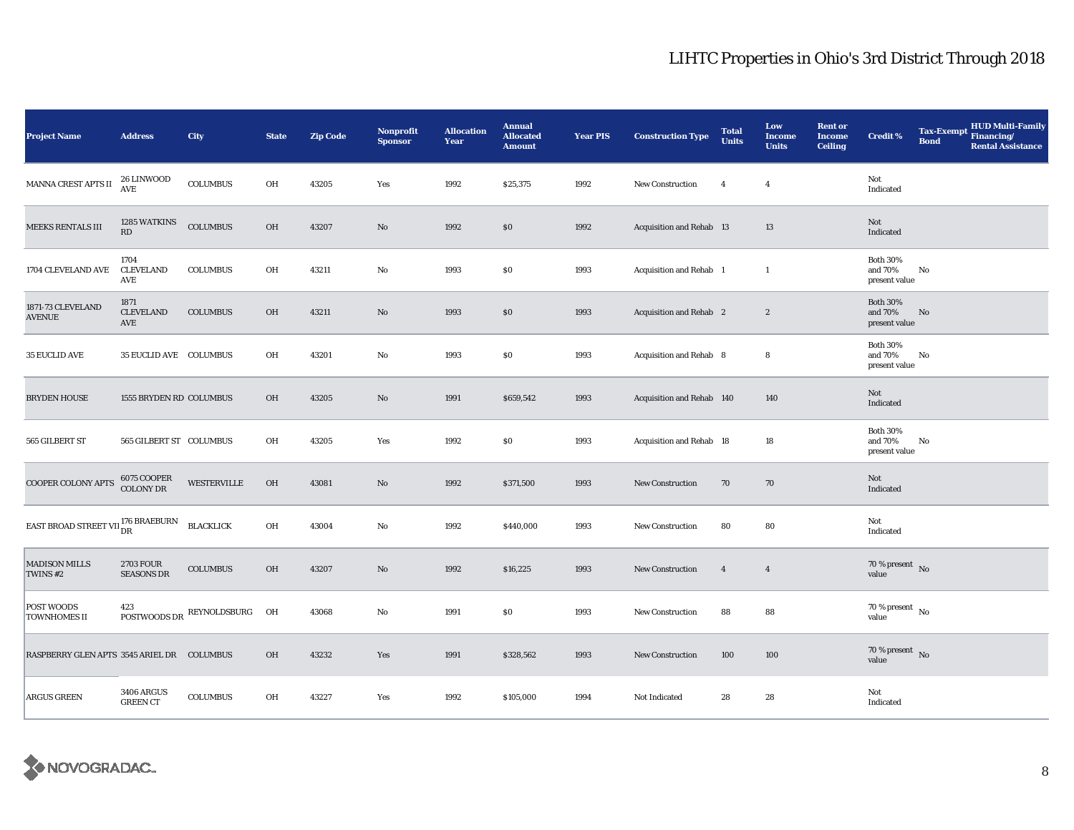| <b>Project Name</b>                              | <b>Address</b>                         | City                         | <b>State</b>  | <b>Zip Code</b> | <b>Nonprofit</b><br><b>Sponsor</b> | <b>Allocation</b><br>Year | <b>Annual</b><br><b>Allocated</b><br><b>Amount</b> | <b>Year PIS</b> | <b>Construction Type</b>  | <b>Total</b><br><b>Units</b> | Low<br>Income<br><b>Units</b> | <b>Rent or</b><br><b>Income</b><br><b>Ceiling</b> | <b>Credit %</b>                             | <b>Tax-Exempt</b><br><b>Bond</b> | <b>HUD Multi-Family</b><br>Financing/<br><b>Rental Assistance</b> |
|--------------------------------------------------|----------------------------------------|------------------------------|---------------|-----------------|------------------------------------|---------------------------|----------------------------------------------------|-----------------|---------------------------|------------------------------|-------------------------------|---------------------------------------------------|---------------------------------------------|----------------------------------|-------------------------------------------------------------------|
| MANNA CREST APTS II                              | 26 LINWOOD<br><b>AVE</b>               | <b>COLUMBUS</b>              | OH            | 43205           | Yes                                | 1992                      | \$25,375                                           | 1992            | <b>New Construction</b>   | $\overline{4}$               | $\overline{4}$                |                                                   | Not<br>Indicated                            |                                  |                                                                   |
| <b>MEEKS RENTALS III</b>                         | 1285 WATKINS<br>$\mathbf{R}\mathbf{D}$ | <b>COLUMBUS</b>              | $O\mathrm{H}$ | 43207           | $\mathbf{N}\mathbf{o}$             | 1992                      | \$0                                                | 1992            | Acquisition and Rehab 13  |                              | 13                            |                                                   | Not<br>Indicated                            |                                  |                                                                   |
| 1704 CLEVELAND AVE                               | 1704<br><b>CLEVELAND</b><br>AVE        | <b>COLUMBUS</b>              | OH            | 43211           | No                                 | 1993                      | \$0                                                | 1993            | Acquisition and Rehab 1   |                              | $\mathbf{1}$                  |                                                   | <b>Both 30%</b><br>and 70%<br>present value | No                               |                                                                   |
| 1871-73 CLEVELAND<br><b>AVENUE</b>               | 1871<br><b>CLEVELAND</b><br>AVE        | <b>COLUMBUS</b>              | OH            | 43211           | $\rm No$                           | 1993                      | \$0                                                | 1993            | Acquisition and Rehab 2   |                              | $\boldsymbol{2}$              |                                                   | <b>Both 30%</b><br>and 70%<br>present value | No                               |                                                                   |
| 35 EUCLID AVE                                    | 35 EUCLID AVE COLUMBUS                 |                              | OH            | 43201           | No                                 | 1993                      | \$0                                                | 1993            | Acquisition and Rehab 8   |                              | 8                             |                                                   | <b>Both 30%</b><br>and 70%<br>present value | No                               |                                                                   |
| <b>BRYDEN HOUSE</b>                              | 1555 BRYDEN RD COLUMBUS                |                              | OH            | 43205           | $\rm No$                           | 1991                      | \$659,542                                          | 1993            | Acquisition and Rehab 140 |                              | 140                           |                                                   | Not<br>Indicated                            |                                  |                                                                   |
| 565 GILBERT ST                                   | 565 GILBERT ST COLUMBUS                |                              | OH            | 43205           | Yes                                | 1992                      | \$0                                                | 1993            | Acquisition and Rehab 18  |                              | 18                            |                                                   | <b>Both 30%</b><br>and 70%<br>present value | No                               |                                                                   |
| <b>COOPER COLONY APTS</b>                        | 6075 COOPER<br>COLONY DR               | WESTERVILLE                  | OH            | 43081           | No                                 | 1992                      | \$371,500                                          | 1993            | <b>New Construction</b>   | 70                           | 70                            |                                                   | Not<br>Indicated                            |                                  |                                                                   |
| EAST BROAD STREET VII $_{\rm DR}^{176}$ BRAEBURN |                                        | <b>BLACKLICK</b>             | OH            | 43004           | No                                 | 1992                      | \$440,000                                          | 1993            | New Construction          | 80                           | 80                            |                                                   | Not<br>Indicated                            |                                  |                                                                   |
| <b>MADISON MILLS</b><br>TWINS #2                 | <b>2703 FOUR</b><br><b>SEASONS DR</b>  | <b>COLUMBUS</b>              | OH            | 43207           | $\mathbf{N}\mathbf{o}$             | 1992                      | \$16,225                                           | 1993            | New Construction          | $\overline{4}$               | $\overline{4}$                |                                                   | 70 % present $\hbox{~No}$<br>value          |                                  |                                                                   |
| POST WOODS<br><b>TOWNHOMES II</b>                | 423                                    | POSTWOODS DR REYNOLDSBURG OH |               | 43068           | No                                 | 1991                      | \$0                                                | 1993            | New Construction          | 88                           | 88                            |                                                   | 70 % present $\hbox{~No}$<br>value          |                                  |                                                                   |
| RASPBERRY GLEN APTS 3545 ARIEL DR COLUMBUS       |                                        |                              | $O\mathrm{H}$ | 43232           | Yes                                | 1991                      | \$328,562                                          | 1993            | <b>New Construction</b>   | 100                          | 100                           |                                                   | 70 % present $\,$ No $\,$<br>value          |                                  |                                                                   |
| <b>ARGUS GREEN</b>                               | <b>3406 ARGUS</b><br><b>GREEN CT</b>   | <b>COLUMBUS</b>              | OH            | 43227           | Yes                                | 1992                      | \$105,000                                          | 1994            | Not Indicated             | 28                           | 28                            |                                                   | Not<br>Indicated                            |                                  |                                                                   |

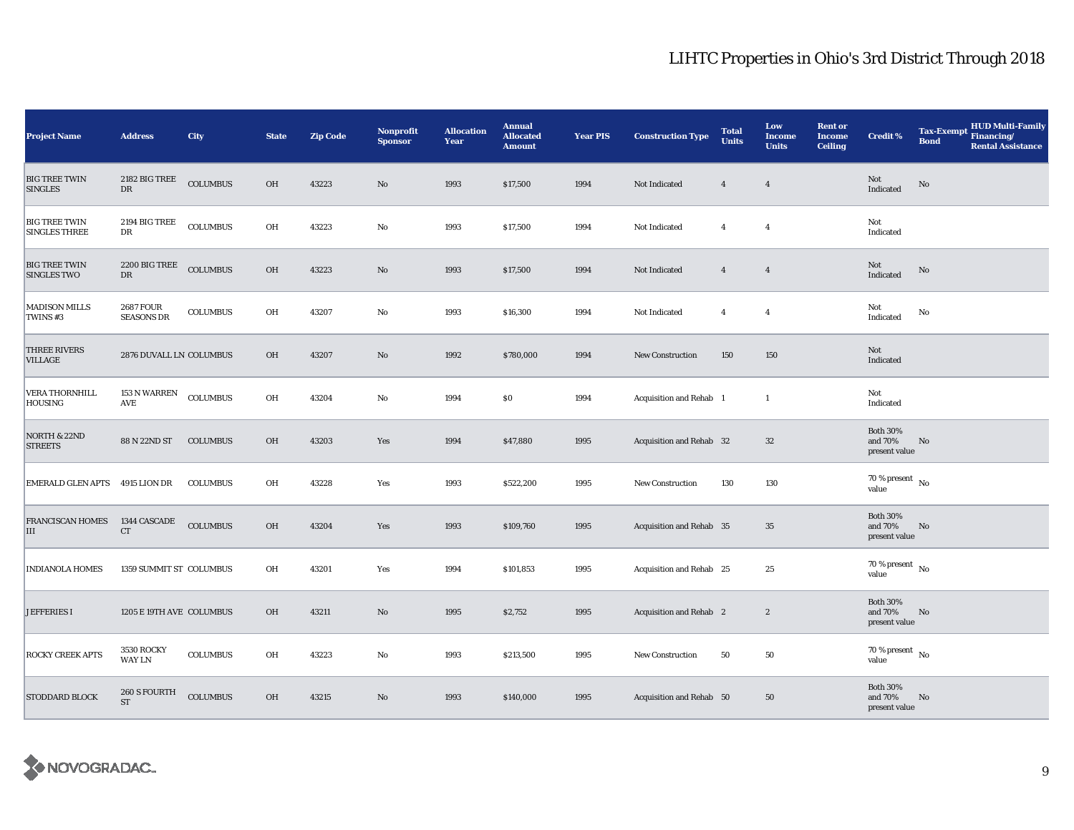| <b>Project Name</b>                          | <b>Address</b>                        | City            | <b>State</b> | <b>Zip Code</b> | <b>Nonprofit</b><br><b>Sponsor</b> | <b>Allocation</b><br>Year | <b>Annual</b><br><b>Allocated</b><br><b>Amount</b> | <b>Year PIS</b> | <b>Construction Type</b>       | <b>Total</b><br><b>Units</b> | Low<br><b>Income</b><br><b>Units</b> | <b>Rent or</b><br><b>Income</b><br><b>Ceiling</b> | <b>Credit %</b>                             | <b>Tax-Exempt</b><br><b>Bond</b> | HUD Multi-Family<br>Financing/<br><b>Rental Assistance</b> |
|----------------------------------------------|---------------------------------------|-----------------|--------------|-----------------|------------------------------------|---------------------------|----------------------------------------------------|-----------------|--------------------------------|------------------------------|--------------------------------------|---------------------------------------------------|---------------------------------------------|----------------------------------|------------------------------------------------------------|
| <b>BIG TREE TWIN</b><br><b>SINGLES</b>       | 2182 BIG TREE<br>${\rm DR}$           | <b>COLUMBUS</b> | OH           | 43223           | $\rm No$                           | 1993                      | \$17,500                                           | 1994            | Not Indicated                  | $\overline{4}$               | $\overline{4}$                       |                                                   | Not<br>Indicated                            | No                               |                                                            |
| <b>BIG TREE TWIN</b><br><b>SINGLES THREE</b> | 2194 BIG TREE<br>DR                   | <b>COLUMBUS</b> | OH           | 43223           | No                                 | 1993                      | \$17,500                                           | 1994            | Not Indicated                  | $\overline{4}$               | $\overline{4}$                       |                                                   | Not<br>Indicated                            |                                  |                                                            |
| <b>BIG TREE TWIN</b><br><b>SINGLES TWO</b>   | 2200 BIG TREE<br>DR                   | <b>COLUMBUS</b> | OH           | 43223           | No                                 | 1993                      | \$17,500                                           | 1994            | Not Indicated                  | $\overline{4}$               | $\overline{4}$                       |                                                   | Not<br>Indicated                            | No                               |                                                            |
| <b>MADISON MILLS</b><br>TWINS #3             | <b>2687 FOUR</b><br><b>SEASONS DR</b> | <b>COLUMBUS</b> | OH           | 43207           | No                                 | 1993                      | \$16,300                                           | 1994            | Not Indicated                  | $\overline{4}$               | $\overline{4}$                       |                                                   | Not<br>Indicated                            | No                               |                                                            |
| <b>THREE RIVERS</b><br><b>VILLAGE</b>        | 2876 DUVALL LN COLUMBUS               |                 | OH           | 43207           | No                                 | 1992                      | \$780,000                                          | 1994            | <b>New Construction</b>        | 150                          | 150                                  |                                                   | Not<br>Indicated                            |                                  |                                                            |
| <b>VERA THORNHILL</b><br><b>HOUSING</b>      | $153$ N WARREN<br>AVE                 | COLUMBUS        | OH           | 43204           | $\rm No$                           | 1994                      | \$0                                                | 1994            | Acquisition and Rehab 1        |                              | $\mathbf{1}$                         |                                                   | Not<br>Indicated                            |                                  |                                                            |
| <b>NORTH &amp; 22ND</b><br><b>STREETS</b>    | 88 N 22ND ST                          | <b>COLUMBUS</b> | OH           | 43203           | Yes                                | 1994                      | \$47,880                                           | 1995            | Acquisition and Rehab 32       |                              | 32                                   |                                                   | <b>Both 30%</b><br>and 70%<br>present value | No                               |                                                            |
| <b>EMERALD GLEN APTS</b>                     | 4915 LION DR                          | <b>COLUMBUS</b> | OH           | 43228           | Yes                                | 1993                      | \$522,200                                          | 1995            | New Construction               | 130                          | 130                                  |                                                   | $70$ % present $\,$ No $\,$<br>value        |                                  |                                                            |
| <b>FRANCISCAN HOMES</b><br>III               | 1344 CASCADE<br>CT                    | <b>COLUMBUS</b> | $_{\rm OH}$  | 43204           | Yes                                | 1993                      | \$109,760                                          | 1995            | Acquisition and Rehab 35       |                              | 35                                   |                                                   | <b>Both 30%</b><br>and 70%<br>present value | No                               |                                                            |
| <b>INDIANOLA HOMES</b>                       | 1359 SUMMIT ST COLUMBUS               |                 | OH           | 43201           | Yes                                | 1994                      | \$101,853                                          | 1995            | Acquisition and Rehab 25       |                              | 25                                   |                                                   | $70$ % present $\,$ No $\,$<br>value        |                                  |                                                            |
| <b>JEFFERIES I</b>                           | 1205 E 19TH AVE COLUMBUS              |                 | <b>OH</b>    | 43211           | No                                 | 1995                      | \$2,752                                            | 1995            | <b>Acquisition and Rehab</b> 2 |                              | $\boldsymbol{2}$                     |                                                   | <b>Both 30%</b><br>and 70%<br>present value | No                               |                                                            |
| <b>ROCKY CREEK APTS</b>                      | 3530 ROCKY<br><b>WAY LN</b>           | COLUMBUS        | OH           | 43223           | No                                 | 1993                      | \$213,500                                          | 1995            | New Construction               | 50                           | 50                                   |                                                   | 70 % present $\hbox{~No}$<br>value          |                                  |                                                            |
| <b>STODDARD BLOCK</b>                        | 260 S FOURTH<br>$\operatorname{ST}$   | <b>COLUMBUS</b> | OH           | 43215           | No                                 | 1993                      | \$140,000                                          | 1995            | Acquisition and Rehab 50       |                              | 50                                   |                                                   | <b>Both 30%</b><br>and 70%<br>present value | No                               |                                                            |

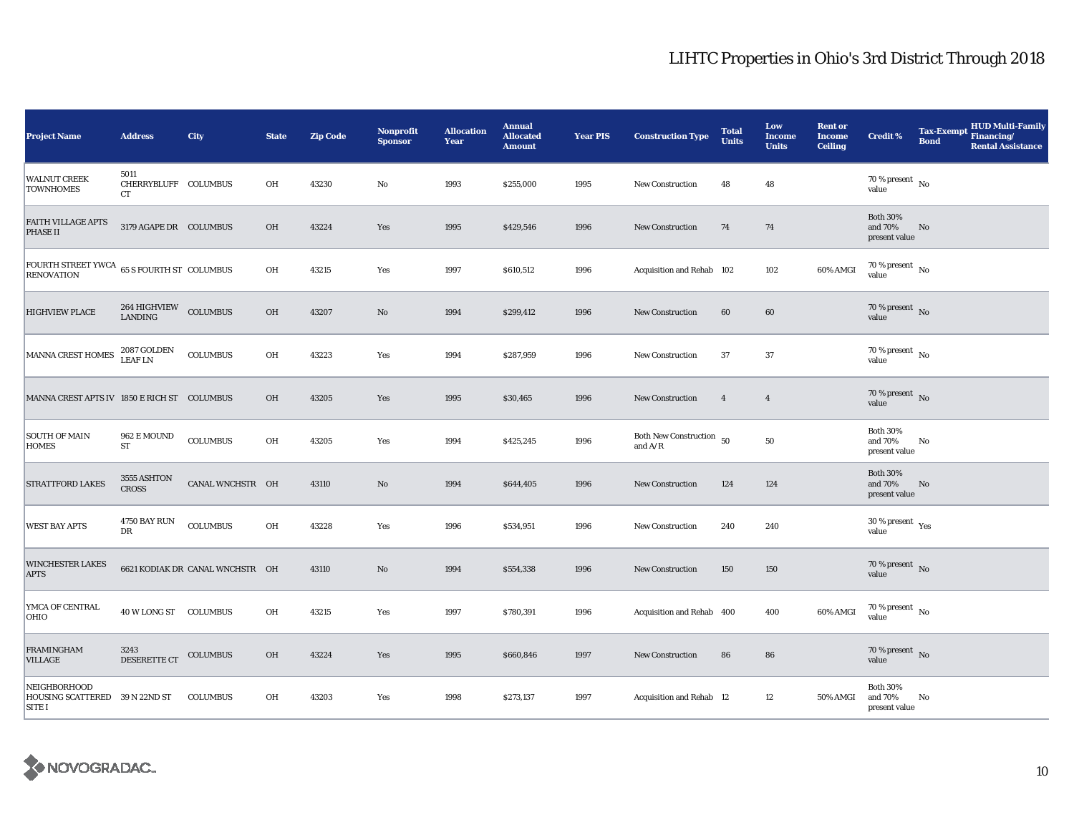| <b>Project Name</b>                                                    | <b>Address</b>                     | City                            | <b>State</b> | <b>Zip Code</b> | <b>Nonprofit</b><br><b>Sponsor</b> | <b>Allocation</b><br>Year | <b>Annual</b><br><b>Allocated</b><br><b>Amount</b> | <b>Year PIS</b> | <b>Construction Type</b>              | <b>Total</b><br><b>Units</b> | Low<br><b>Income</b><br><b>Units</b> | <b>Rent or</b><br><b>Income</b><br><b>Ceiling</b> | <b>Credit %</b>                              | <b>Tax-Exempt</b><br><b>Bond</b> | <b>HUD Multi-Family</b><br>Financing/<br><b>Rental Assistance</b> |
|------------------------------------------------------------------------|------------------------------------|---------------------------------|--------------|-----------------|------------------------------------|---------------------------|----------------------------------------------------|-----------------|---------------------------------------|------------------------------|--------------------------------------|---------------------------------------------------|----------------------------------------------|----------------------------------|-------------------------------------------------------------------|
| <b>WALNUT CREEK</b><br><b>TOWNHOMES</b>                                | 5011<br>CHERRYBLUFF COLUMBUS<br>CT |                                 | OH           | 43230           | $\rm No$                           | 1993                      | \$255,000                                          | 1995            | New Construction                      | 48                           | 48                                   |                                                   | $70$ % present $\,$ No $\,$<br>value         |                                  |                                                                   |
| <b>FAITH VILLAGE APTS</b><br><b>PHASE II</b>                           | 3179 AGAPE DR COLUMBUS             |                                 | OH           | 43224           | Yes                                | 1995                      | \$429,546                                          | 1996            | New Construction                      | 74                           | 74                                   |                                                   | <b>Both 30%</b><br>and 70%<br>present value  | No                               |                                                                   |
| FOURTH STREET YWCA 65 S FOURTH ST COLUMBUS<br><b>RENOVATION</b>        |                                    |                                 | OH           | 43215           | Yes                                | 1997                      | \$610,512                                          | 1996            | Acquisition and Rehab 102             |                              | 102                                  | 60% AMGI                                          | $70\,\%$ present $\,$ No value               |                                  |                                                                   |
| <b>HIGHVIEW PLACE</b>                                                  | 264 HIGHVIEW COLUMBUS<br>LANDING   |                                 | OH           | 43207           | No                                 | 1994                      | \$299,412                                          | 1996            | <b>New Construction</b>               | 60                           | 60                                   |                                                   | 70 % present $\,$ No $\,$<br>value           |                                  |                                                                   |
| MANNA CREST HOMES                                                      | 2087 GOLDEN<br><b>LEAF LN</b>      | <b>COLUMBUS</b>                 | OH           | 43223           | Yes                                | 1994                      | \$287,959                                          | 1996            | <b>New Construction</b>               | 37                           | $37\,$                               |                                                   | 70 % present $\hbox{~No}$<br>value           |                                  |                                                                   |
| MANNA CREST APTS IV 1850 E RICH ST COLUMBUS                            |                                    |                                 | OH           | 43205           | Yes                                | 1995                      | \$30,465                                           | 1996            | <b>New Construction</b>               | $\overline{4}$               | $\overline{4}$                       |                                                   | 70 % present $\bar{N}$<br>value              |                                  |                                                                   |
| <b>SOUTH OF MAIN</b><br><b>HOMES</b>                                   | 962 E MOUND<br>${\rm ST}$          | COLUMBUS                        | OH           | 43205           | Yes                                | 1994                      | \$425,245                                          | 1996            | Both New Construction 50<br>and $A/R$ |                              | ${\bf 50}$                           |                                                   | <b>Both 30%</b><br>and 70%<br>present value  | No                               |                                                                   |
| <b>STRATTFORD LAKES</b>                                                | 3555 ASHTON<br><b>CROSS</b>        | CANAL WNCHSTR OH                |              | 43110           | No                                 | 1994                      | \$644,405                                          | 1996            | <b>New Construction</b>               | 124                          | 124                                  |                                                   | <b>Both 30%</b><br>and 70%<br>present value  | No                               |                                                                   |
| <b>WEST BAY APTS</b>                                                   | 4750 BAY RUN<br>DR                 | <b>COLUMBUS</b>                 | OH           | 43228           | Yes                                | 1996                      | \$534,951                                          | 1996            | <b>New Construction</b>               | 240                          | 240                                  |                                                   | $30$ % present $\rm\thinspace\,Yes$<br>value |                                  |                                                                   |
| <b>WINCHESTER LAKES</b><br><b>APTS</b>                                 |                                    | 6621 KODIAK DR CANAL WNCHSTR OH |              | 43110           | $\rm No$                           | 1994                      | \$554,338                                          | 1996            | New Construction                      | 150                          | 150                                  |                                                   | $70\%$ present No<br>value                   |                                  |                                                                   |
| YMCA OF CENTRAL<br>OHIO                                                | 40 W LONG ST COLUMBUS              |                                 | OH           | 43215           | Yes                                | 1997                      | \$780,391                                          | 1996            | Acquisition and Rehab 400             |                              | 400                                  | 60% AMGI                                          | 70 % present $\hbox{~No}$<br>value           |                                  |                                                                   |
| <b>FRAMINGHAM</b><br><b>VILLAGE</b>                                    | 3243<br>DESERETTE CT               | <b>COLUMBUS</b>                 | OH           | 43224           | Yes                                | 1995                      | \$660,846                                          | 1997            | <b>New Construction</b>               | 86                           | 86                                   |                                                   | 70 % present $\hbox{~No}$<br>value           |                                  |                                                                   |
| <b>NEIGHBORHOOD</b><br>HOUSING SCATTERED 39 N 22ND ST<br><b>SITE I</b> |                                    | <b>COLUMBUS</b>                 | OH           | 43203           | Yes                                | 1998                      | \$273,137                                          | 1997            | Acquisition and Rehab 12              |                              | 12                                   | 50% AMGI                                          | <b>Both 30%</b><br>and 70%<br>present value  | No                               |                                                                   |

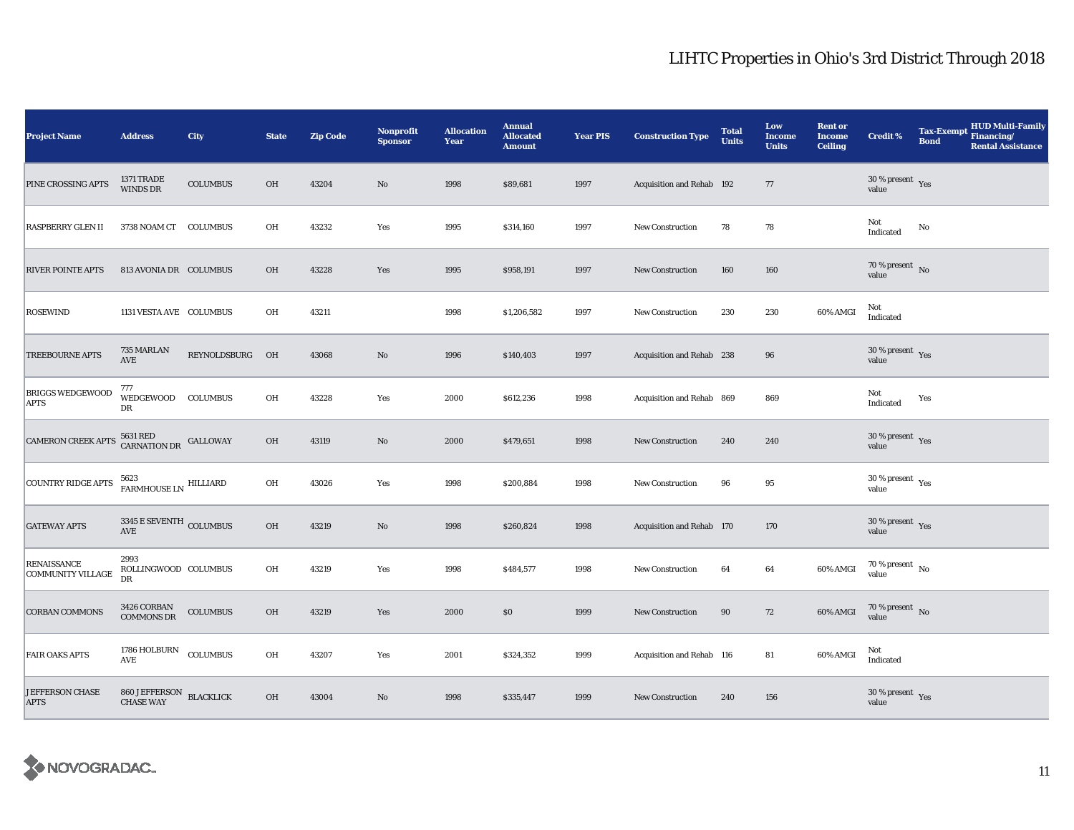| <b>Project Name</b>                            | <b>Address</b>                                    | City            | <b>State</b>   | <b>Zip Code</b> | <b>Nonprofit</b><br><b>Sponsor</b> | <b>Allocation</b><br>Year | <b>Annual</b><br><b>Allocated</b><br><b>Amount</b> | <b>Year PIS</b> | <b>Construction Type</b>  | <b>Total</b><br><b>Units</b> | Low<br><b>Income</b><br><b>Units</b> | <b>Rent or</b><br><b>Income</b><br><b>Ceiling</b> | <b>Credit %</b>                          | <b>Tax-Exempt</b><br><b>Bond</b> | HUD Multi-Family<br>Financing/<br><b>Rental Assistance</b> |
|------------------------------------------------|---------------------------------------------------|-----------------|----------------|-----------------|------------------------------------|---------------------------|----------------------------------------------------|-----------------|---------------------------|------------------------------|--------------------------------------|---------------------------------------------------|------------------------------------------|----------------------------------|------------------------------------------------------------|
| PINE CROSSING APTS                             | 1371 TRADE<br><b>WINDS DR</b>                     | <b>COLUMBUS</b> | OH             | 43204           | $\rm No$                           | 1998                      | \$89,681                                           | 1997            | Acquisition and Rehab 192 |                              | 77                                   |                                                   | $30$ % present $\,$ $\rm Yes$<br>value   |                                  |                                                            |
| <b>RASPBERRY GLEN II</b>                       | 3738 NOAM CT COLUMBUS                             |                 | OH             | 43232           | Yes                                | 1995                      | \$314,160                                          | 1997            | <b>New Construction</b>   | 78                           | 78                                   |                                                   | Not<br>Indicated                         | No                               |                                                            |
| <b>RIVER POINTE APTS</b>                       | 813 AVONIA DR COLUMBUS                            |                 | OH             | 43228           | Yes                                | 1995                      | \$958,191                                          | 1997            | <b>New Construction</b>   | 160                          | 160                                  |                                                   | $70$ % present $\,$ No $\,$<br>value     |                                  |                                                            |
| <b>ROSEWIND</b>                                | 1131 VESTA AVE COLUMBUS                           |                 | OH             | 43211           |                                    | 1998                      | \$1,206,582                                        | 1997            | <b>New Construction</b>   | 230                          | 230                                  | 60% AMGI                                          | Not<br>Indicated                         |                                  |                                                            |
| <b>TREEBOURNE APTS</b>                         | 735 MARLAN<br>AVE                                 | REYNOLDSBURG    | O <sub>H</sub> | 43068           | $\rm No$                           | 1996                      | \$140,403                                          | 1997            | Acquisition and Rehab 238 |                              | 96                                   |                                                   | $30$ % present $\,$ $\rm Yes$<br>value   |                                  |                                                            |
| <b>BRIGGS WEDGEWOOD</b><br><b>APTS</b>         | 777<br>WEDGEWOOD COLUMBUS<br>DR                   |                 | OH             | 43228           | Yes                                | 2000                      | \$612,236                                          | 1998            | Acquisition and Rehab 869 |                              | 869                                  |                                                   | Not<br>Indicated                         | Yes                              |                                                            |
| <b>CAMERON CREEK APTS</b>                      | $5631$ RED $\rm_{CARNATION\,DR}$ $\rm_{GALLOWAY}$ |                 | OH             | 43119           | No                                 | 2000                      | \$479,651                                          | 1998            | <b>New Construction</b>   | 240                          | 240                                  |                                                   | $30\,\%$ present $\,$ Yes value          |                                  |                                                            |
| <b>COUNTRY RIDGE APTS</b>                      | $5623$ $$\tt FARMHOUSE~LN$$ $$\tt HILLIARD$$      |                 | OH             | 43026           | Yes                                | 1998                      | \$200,884                                          | 1998            | <b>New Construction</b>   | 96                           | $\bf 95$                             |                                                   | $30\,\%$ present $\,$ Yes value          |                                  |                                                            |
| <b>GATEWAY APTS</b>                            | 3345 E SEVENTH COLUMBUS<br>AVE                    |                 | <b>OH</b>      | 43219           | No                                 | 1998                      | \$260,824                                          | 1998            | Acquisition and Rehab 170 |                              | 170                                  |                                                   | $30$ % present $\,$ $\rm Yes$<br>value   |                                  |                                                            |
| <b>RENAISSANCE</b><br><b>COMMUNITY VILLAGE</b> | 2993<br>ROLLINGWOOD COLUMBUS<br>DR                |                 | OH             | 43219           | Yes                                | 1998                      | \$484,577                                          | 1998            | <b>New Construction</b>   | 64                           | 64                                   | 60% AMGI                                          | $70$ % present $\,$ No $\,$<br>value     |                                  |                                                            |
| <b>CORBAN COMMONS</b>                          | 3426 CORBAN<br><b>COMMONS DR</b>                  | <b>COLUMBUS</b> | OH             | 43219           | Yes                                | 2000                      | $\$0$                                              | 1999            | <b>New Construction</b>   | 90                           | $72\,$                               | 60% AMGI                                          | 70 % present $\,$ No $\,$<br>value       |                                  |                                                            |
| <b>FAIR OAKS APTS</b>                          | 1786 HOLBURN COLUMBUS<br>AVE                      |                 | OH             | 43207           | Yes                                | 2001                      | \$324,352                                          | 1999            | Acquisition and Rehab 116 |                              | 81                                   | 60% AMGI                                          | Not<br>Indicated                         |                                  |                                                            |
| <b>JEFFERSON CHASE</b><br><b>APTS</b>          | $860$ JEFFERSON $\,$ BLACKLICK CHASE WAY          |                 | OH             | 43004           | No                                 | 1998                      | \$335,447                                          | 1999            | <b>New Construction</b>   | 240                          | 156                                  |                                                   | $30\,\%$ present $\,$ $\rm Yes$<br>value |                                  |                                                            |

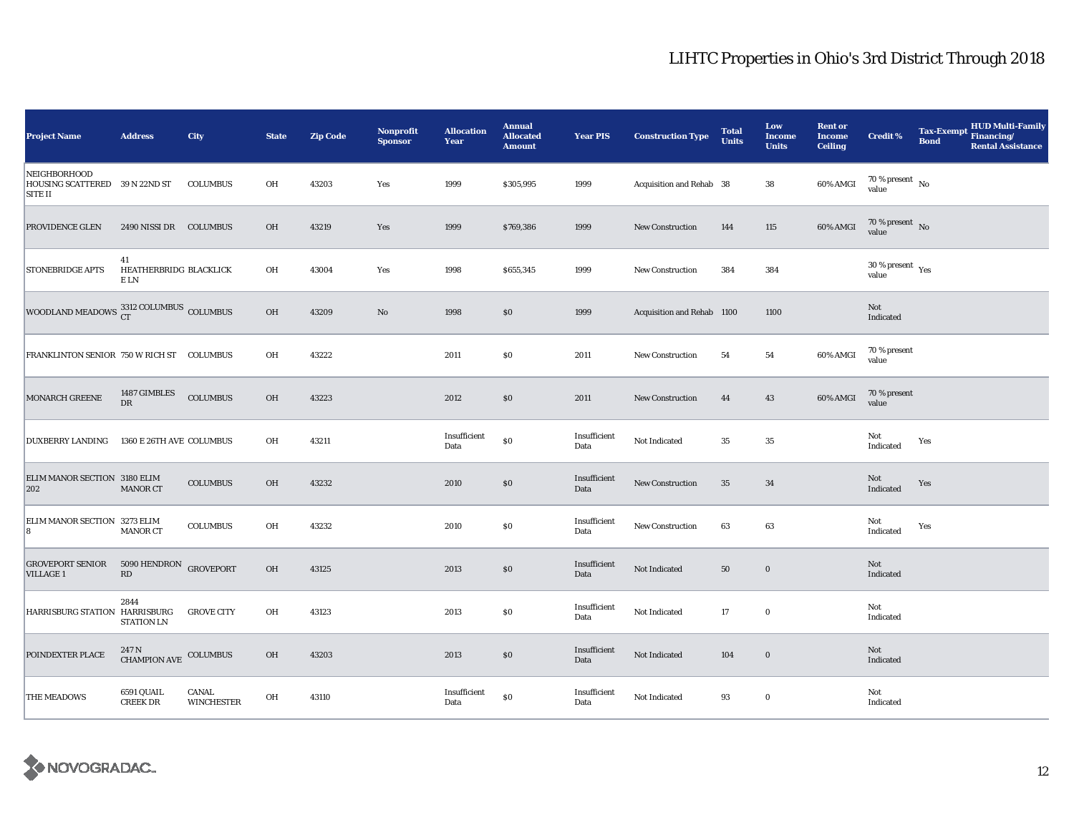| <b>Project Name</b>                                              | <b>Address</b>                                 | City                       | <b>State</b> | <b>Zip Code</b> | Nonprofit<br><b>Sponsor</b> | <b>Allocation</b><br>Year | <b>Annual</b><br><b>Allocated</b><br><b>Amount</b> | <b>Year PIS</b>      | <b>Construction Type</b>   | <b>Total</b><br><b>Units</b> | Low<br><b>Income</b><br><b>Units</b> | <b>Rent or</b><br><b>Income</b><br><b>Ceiling</b> | <b>Credit %</b>                             | <b>Tax-Exempt</b><br><b>Bond</b> | HUD Multi-Family<br>Financing/<br><b>Rental Assistance</b> |
|------------------------------------------------------------------|------------------------------------------------|----------------------------|--------------|-----------------|-----------------------------|---------------------------|----------------------------------------------------|----------------------|----------------------------|------------------------------|--------------------------------------|---------------------------------------------------|---------------------------------------------|----------------------------------|------------------------------------------------------------|
| NEIGHBORHOOD<br>HOUSING SCATTERED 39 N 22ND ST<br><b>SITE II</b> |                                                | <b>COLUMBUS</b>            | OH           | 43203           | Yes                         | 1999                      | \$305,995                                          | 1999                 | Acquisition and Rehab 38   |                              | 38                                   | 60% AMGI                                          | 70 % present $\hbox{~No}$<br>value          |                                  |                                                            |
| PROVIDENCE GLEN                                                  | 2490 NISSI DR COLUMBUS                         |                            | OH           | 43219           | Yes                         | 1999                      | \$769,386                                          | 1999                 | <b>New Construction</b>    | 144                          | 115                                  | 60% AMGI                                          | 70 % present No<br>value                    |                                  |                                                            |
| <b>STONEBRIDGE APTS</b>                                          | 41<br>HEATHERBRIDG BLACKLICK<br>E LN           |                            | OH           | 43004           | Yes                         | 1998                      | \$655,345                                          | 1999                 | <b>New Construction</b>    | 384                          | 384                                  |                                                   | $30\,\%$ present $\,$ $_{\rm Yes}$<br>value |                                  |                                                            |
| WOODLAND MEADOWS $_{\rm CT}^{3312\, \rm COLUMBUS}$ COLUMBUS      |                                                |                            | OH           | 43209           | No                          | 1998                      | \$0\$                                              | 1999                 | Acquisition and Rehab 1100 |                              | 1100                                 |                                                   | Not<br>Indicated                            |                                  |                                                            |
| FRANKLINTON SENIOR 750 W RICH ST COLUMBUS                        |                                                |                            | OH           | 43222           |                             | 2011                      | \$0                                                | 2011                 | New Construction           | 54                           | 54                                   | 60% AMGI                                          | 70 % present<br>value                       |                                  |                                                            |
| MONARCH GREENE                                                   | 1487 GIMBLES<br>${\rm DR}$                     | <b>COLUMBUS</b>            | OH           | 43223           |                             | 2012                      | \$0                                                | 2011                 | New Construction           | 44                           | 43                                   | 60% AMGI                                          | 70 % present<br>value                       |                                  |                                                            |
| <b>DUXBERRY LANDING</b>                                          | 1360 E 26TH AVE COLUMBUS                       |                            | OH           | 43211           |                             | Insufficient<br>Data      | $\$0$                                              | Insufficient<br>Data | Not Indicated              | 35                           | $35\,$                               |                                                   | Not<br>Indicated                            | Yes                              |                                                            |
| ELIM MANOR SECTION 3180 ELIM<br>202                              | <b>MANOR CT</b>                                | <b>COLUMBUS</b>            | OH           | 43232           |                             | 2010                      | $\$0$                                              | Insufficient<br>Data | New Construction           | $35\,$                       | 34                                   |                                                   | Not<br>Indicated                            | Yes                              |                                                            |
| ELIM MANOR SECTION 3273 ELIM<br>8                                | <b>MANOR CT</b>                                | COLUMBUS                   | OH           | 43232           |                             | 2010                      | $\$0$                                              | Insufficient<br>Data | New Construction           | 63                           | 63                                   |                                                   | Not<br>Indicated                            | Yes                              |                                                            |
| <b>GROVEPORT SENIOR</b><br><b>VILLAGE 1</b>                      | 5090 HENDRON<br>$\mathbf{R}\mathbf{D}$         | <b>GROVEPORT</b>           | OH           | 43125           |                             | 2013                      | \$0                                                | Insufficient<br>Data | Not Indicated              | 50                           | $\bf{0}$                             |                                                   | Not<br>Indicated                            |                                  |                                                            |
| HARRISBURG STATION HARRISBURG                                    | 2844<br><b>STATION LN</b>                      | <b>GROVE CITY</b>          | OH           | 43123           |                             | 2013                      | \$0                                                | Insufficient<br>Data | Not Indicated              | 17                           | $\bf{0}$                             |                                                   | Not<br>Indicated                            |                                  |                                                            |
| POINDEXTER PLACE                                                 | $247$ N $$\tt CHAMPION\ AVE$$ $$\tt COLUMBUS$$ |                            | OH           | 43203           |                             | 2013                      | \$0                                                | Insufficient<br>Data | Not Indicated              | 104                          | $\mathbf 0$                          |                                                   | Not<br>Indicated                            |                                  |                                                            |
| THE MEADOWS                                                      | 6591 QUAIL<br><b>CREEK DR</b>                  | CANAL<br><b>WINCHESTER</b> | OH           | 43110           |                             | Insufficient<br>Data      | \$0                                                | Insufficient<br>Data | Not Indicated              | 93                           | $\bf{0}$                             |                                                   | Not<br>Indicated                            |                                  |                                                            |

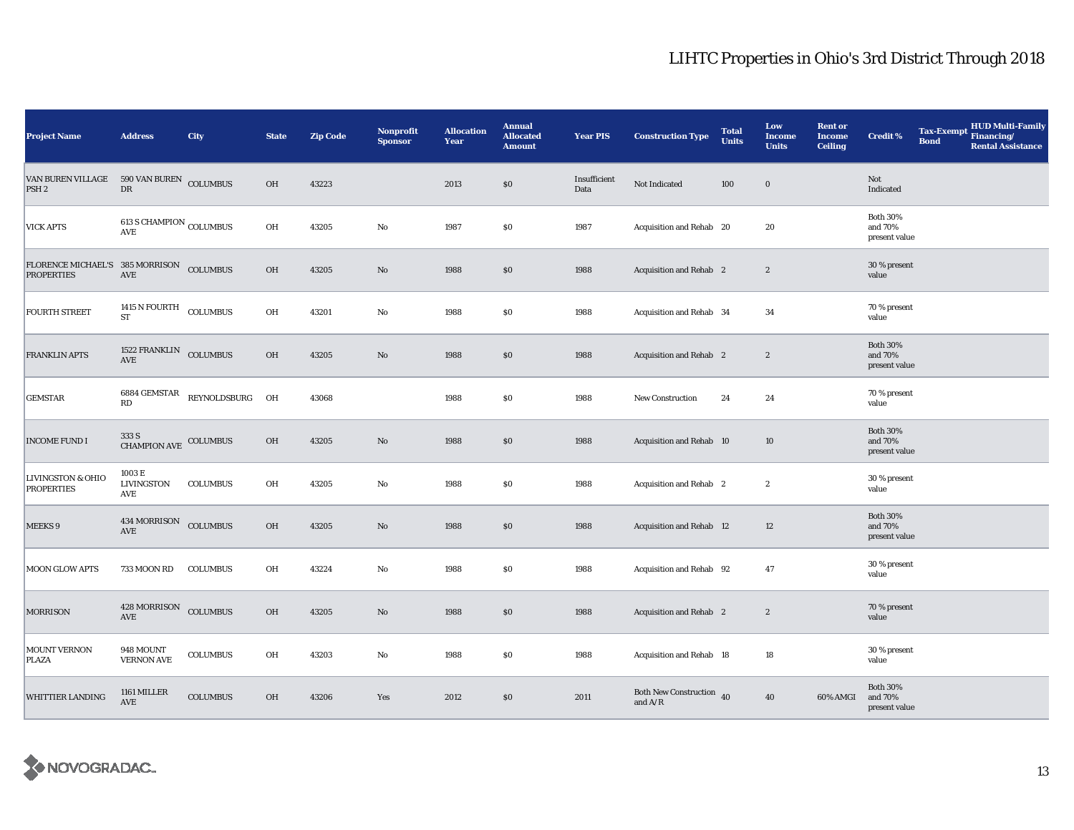| <b>Project Name</b>                                           | <b>Address</b>                       | City            | <b>State</b>  | <b>Zip Code</b> | <b>Nonprofit</b><br><b>Sponsor</b> | <b>Allocation</b><br>Year | <b>Annual</b><br><b>Allocated</b><br><b>Amount</b> | <b>Year PIS</b>      | <b>Construction Type</b>              | <b>Total</b><br><b>Units</b> | Low<br><b>Income</b><br><b>Units</b> | <b>Rent or</b><br><b>Income</b><br><b>Ceiling</b> | <b>Credit %</b>                             | <b>Tax-Exempt</b><br><b>Bond</b> | HUD Multi-Family<br>Financing/<br><b>Rental Assistance</b> |
|---------------------------------------------------------------|--------------------------------------|-----------------|---------------|-----------------|------------------------------------|---------------------------|----------------------------------------------------|----------------------|---------------------------------------|------------------------------|--------------------------------------|---------------------------------------------------|---------------------------------------------|----------------------------------|------------------------------------------------------------|
| VAN BUREN VILLAGE<br>PSH <sub>2</sub>                         | 590 VAN BUREN<br>${\rm DR}$          | <b>COLUMBUS</b> | <b>OH</b>     | 43223           |                                    | 2013                      | \$0                                                | Insufficient<br>Data | Not Indicated                         | 100                          | $\bf{0}$                             |                                                   | Not<br>Indicated                            |                                  |                                                            |
| <b>VICK APTS</b>                                              | 613 S CHAMPION COLUMBUS<br>AVE       |                 | OH            | 43205           | $\rm No$                           | 1987                      | \$0                                                | 1987                 | Acquisition and Rehab 20              |                              | 20                                   |                                                   | <b>Both 30%</b><br>and 70%<br>present value |                                  |                                                            |
| FLORENCE MICHAEL'S 385 MORRISON COLUMBUS<br><b>PROPERTIES</b> | $\operatorname{AVE}$                 |                 | OH            | 43205           | $\rm No$                           | 1988                      | \$0                                                | 1988                 | Acquisition and Rehab 2               |                              | $\boldsymbol{2}$                     |                                                   | 30 % present<br>value                       |                                  |                                                            |
| <b>FOURTH STREET</b>                                          | 1415 N FOURTH COLUMBUS<br>${\rm ST}$ |                 | OH            | 43201           | No                                 | 1988                      | $\$0$                                              | 1988                 | Acquisition and Rehab 34              |                              | 34                                   |                                                   | 70 % present<br>value                       |                                  |                                                            |
| FRANKLIN APTS                                                 | 1522 FRANKLIN COLUMBUS<br>AVE        |                 | OH            | 43205           | $\rm No$                           | 1988                      | $\$0$                                              | 1988                 | Acquisition and Rehab 2               |                              | $\boldsymbol{2}$                     |                                                   | <b>Both 30%</b><br>and 70%<br>present value |                                  |                                                            |
| <b>GEMSTAR</b>                                                | 6884 GEMSTAR<br>RD                   | REYNOLDSBURG OH |               | 43068           |                                    | 1988                      | \$0                                                | 1988                 | New Construction                      | 24                           | 24                                   |                                                   | 70 % present<br>value                       |                                  |                                                            |
| <b>INCOME FUND I</b>                                          | 333 S<br>CHAMPION AVE COLUMBUS       |                 | OH            | 43205           | $\rm No$                           | 1988                      | \$0                                                | 1988                 | Acquisition and Rehab 10              |                              | 10                                   |                                                   | <b>Both 30%</b><br>and 70%<br>present value |                                  |                                                            |
| <b>LIVINGSTON &amp; OHIO</b><br><b>PROPERTIES</b>             | 1003 E<br><b>LIVINGSTON</b><br>AVE   | COLUMBUS        | OH            | 43205           | No                                 | 1988                      | \$0                                                | 1988                 | Acquisition and Rehab 2               |                              | $\boldsymbol{2}$                     |                                                   | 30 % present<br>value                       |                                  |                                                            |
| MEEKS 9                                                       | 434 MORRISON<br>$\operatorname{AVE}$ | <b>COLUMBUS</b> | $O\mathrm{H}$ | 43205           | $\rm No$                           | 1988                      | \$0                                                | 1988                 | Acquisition and Rehab 12              |                              | 12                                   |                                                   | <b>Both 30%</b><br>and 70%<br>present value |                                  |                                                            |
| <b>MOON GLOW APTS</b>                                         | 733 MOON RD                          | <b>COLUMBUS</b> | OH            | 43224           | $\rm No$                           | 1988                      | \$0                                                | 1988                 | Acquisition and Rehab 92              |                              | 47                                   |                                                   | 30 % present<br>value                       |                                  |                                                            |
| <b>MORRISON</b>                                               | 428 MORRISON<br>AVE                  | COLUMBUS        | OH            | 43205           | $\rm No$                           | 1988                      | \$0                                                | 1988                 | Acquisition and Rehab 2               |                              | $\boldsymbol{2}$                     |                                                   | 70 % present<br>value                       |                                  |                                                            |
| <b>MOUNT VERNON</b><br><b>PLAZA</b>                           | 948 MOUNT<br><b>VERNON AVE</b>       | COLUMBUS        | OH            | 43203           | $\rm No$                           | 1988                      | \$0                                                | 1988                 | Acquisition and Rehab 18              |                              | 18                                   |                                                   | 30 % present<br>value                       |                                  |                                                            |
| <b>WHITTIER LANDING</b>                                       | 1161 MILLER<br>AVE                   | <b>COLUMBUS</b> | $O\mathrm{H}$ | 43206           | Yes                                | 2012                      | $\$0$                                              | 2011                 | Both New Construction 40<br>and $A/R$ |                              | 40                                   | 60% AMGI                                          | <b>Both 30%</b><br>and 70%<br>present value |                                  |                                                            |

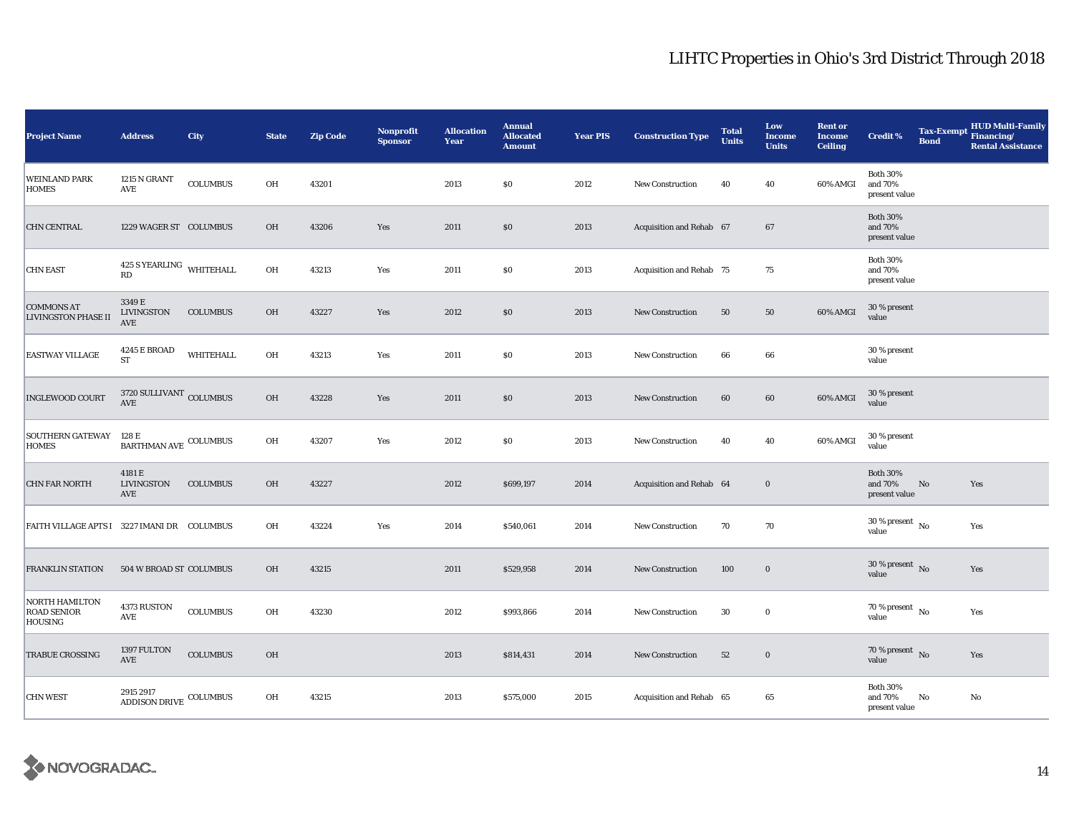| <b>Project Name</b>                                           | <b>Address</b>                                           | City            | <b>State</b> | <b>Zip Code</b> | Nonprofit<br><b>Sponsor</b> | <b>Allocation</b><br>Year | <b>Annual</b><br><b>Allocated</b><br><b>Amount</b> | <b>Year PIS</b> | <b>Construction Type</b> | <b>Total</b><br><b>Units</b> | Low<br><b>Income</b><br><b>Units</b> | <b>Rent or</b><br><b>Income</b><br><b>Ceiling</b> | <b>Credit %</b>                             | <b>Tax-Exempt</b><br><b>Bond</b> | HUD Multi-Family<br>Financing/<br><b>Rental Assistance</b> |
|---------------------------------------------------------------|----------------------------------------------------------|-----------------|--------------|-----------------|-----------------------------|---------------------------|----------------------------------------------------|-----------------|--------------------------|------------------------------|--------------------------------------|---------------------------------------------------|---------------------------------------------|----------------------------------|------------------------------------------------------------|
| <b>WEINLAND PARK</b><br><b>HOMES</b>                          | 1215 N GRANT<br>AVE                                      | $\sf COLUMBUS$  | OH           | 43201           |                             | 2013                      | $\$0$                                              | 2012            | New Construction         | 40                           | 40                                   | 60% AMGI                                          | <b>Both 30%</b><br>and 70%<br>present value |                                  |                                                            |
| <b>CHN CENTRAL</b>                                            | 1229 WAGER ST COLUMBUS                                   |                 | OH           | 43206           | Yes                         | 2011                      | \$0                                                | 2013            | Acquisition and Rehab 67 |                              | 67                                   |                                                   | <b>Both 30%</b><br>and 70%<br>present value |                                  |                                                            |
| <b>CHN EAST</b>                                               | $425$ S YEARLING $\,$ WHITEHALL<br>RD                    |                 | OH           | 43213           | Yes                         | 2011                      | \$0                                                | 2013            | Acquisition and Rehab 75 |                              | 75                                   |                                                   | <b>Both 30%</b><br>and 70%<br>present value |                                  |                                                            |
| <b>COMMONS AT</b><br><b>LIVINGSTON PHASE II</b>               | 3349 E<br>LIVINGSTON<br>AVE                              | <b>COLUMBUS</b> | OH           | 43227           | Yes                         | 2012                      | \$0                                                | 2013            | <b>New Construction</b>  | 50                           | 50                                   | 60% AMGI                                          | 30 % present<br>value                       |                                  |                                                            |
| <b>EASTWAY VILLAGE</b>                                        | <b>4245 E BROAD</b><br>${\rm ST}$                        | WHITEHALL       | OH           | 43213           | Yes                         | 2011                      | \$0                                                | 2013            | <b>New Construction</b>  | 66                           | 66                                   |                                                   | 30 % present<br>value                       |                                  |                                                            |
| <b>INGLEWOOD COURT</b>                                        | $3720\,$ SULLIVANT $\,$ COLUMBUS<br>$\operatorname{AVE}$ |                 | OH           | 43228           | Yes                         | 2011                      | \$0                                                | 2013            | New Construction         | 60                           | 60                                   | 60% AMGI                                          | 30 % present<br>value                       |                                  |                                                            |
| <b>SOUTHERN GATEWAY</b><br><b>HOMES</b>                       | 128 E<br>$\textsc{BARTHMAN}$ AVE $\textsc{COLUMBUS}$     |                 | OH           | 43207           | Yes                         | 2012                      | $\$0$                                              | 2013            | New Construction         | 40                           | 40                                   | 60% AMGI                                          | 30 % present<br>value                       |                                  |                                                            |
| <b>CHN FAR NORTH</b>                                          | 4181 E<br>LIVINGSTON<br>AVE                              | <b>COLUMBUS</b> | <b>OH</b>    | 43227           |                             | 2012                      | \$699,197                                          | 2014            | Acquisition and Rehab 64 |                              | $\bf{0}$                             |                                                   | <b>Both 30%</b><br>and 70%<br>present value | No                               | Yes                                                        |
| FAITH VILLAGE APTS I 3227 IMANI DR COLUMBUS                   |                                                          |                 | OH           | 43224           | Yes                         | 2014                      | \$540,061                                          | 2014            | <b>New Construction</b>  | 70                           | 70                                   |                                                   | $30$ % present $\,$ No $\,$<br>value        |                                  | Yes                                                        |
| <b>FRANKLIN STATION</b>                                       | 504 W BROAD ST COLUMBUS                                  |                 | OH           | 43215           |                             | 2011                      | \$529,958                                          | 2014            | <b>New Construction</b>  | 100                          | $\mathbf 0$                          |                                                   | $30\,\%$ present $\,$ No $\,$<br>value      |                                  | Yes                                                        |
| <b>NORTH HAMILTON</b><br><b>ROAD SENIOR</b><br><b>HOUSING</b> | 4373 RUSTON<br>AVE                                       | <b>COLUMBUS</b> | OH           | 43230           |                             | 2012                      | \$993,866                                          | 2014            | New Construction         | 30                           | $\mathbf 0$                          |                                                   | $70\,\%$ present $\,$ No value              |                                  | Yes                                                        |
| <b>TRABUE CROSSING</b>                                        | 1397 FULTON<br>AVE                                       | <b>COLUMBUS</b> | OH           |                 |                             | 2013                      | \$814,431                                          | 2014            | <b>New Construction</b>  | 52                           | $\bf{0}$                             |                                                   | $70\,\%$ present $\,$ No value              |                                  | Yes                                                        |
| <b>CHN WEST</b>                                               | 2915 2917<br>ADDISON DRIVE COLUMBUS                      |                 | OH           | 43215           |                             | 2013                      | \$575,000                                          | 2015            | Acquisition and Rehab 65 |                              | 65                                   |                                                   | <b>Both 30%</b><br>and 70%<br>present value | No                               | No                                                         |

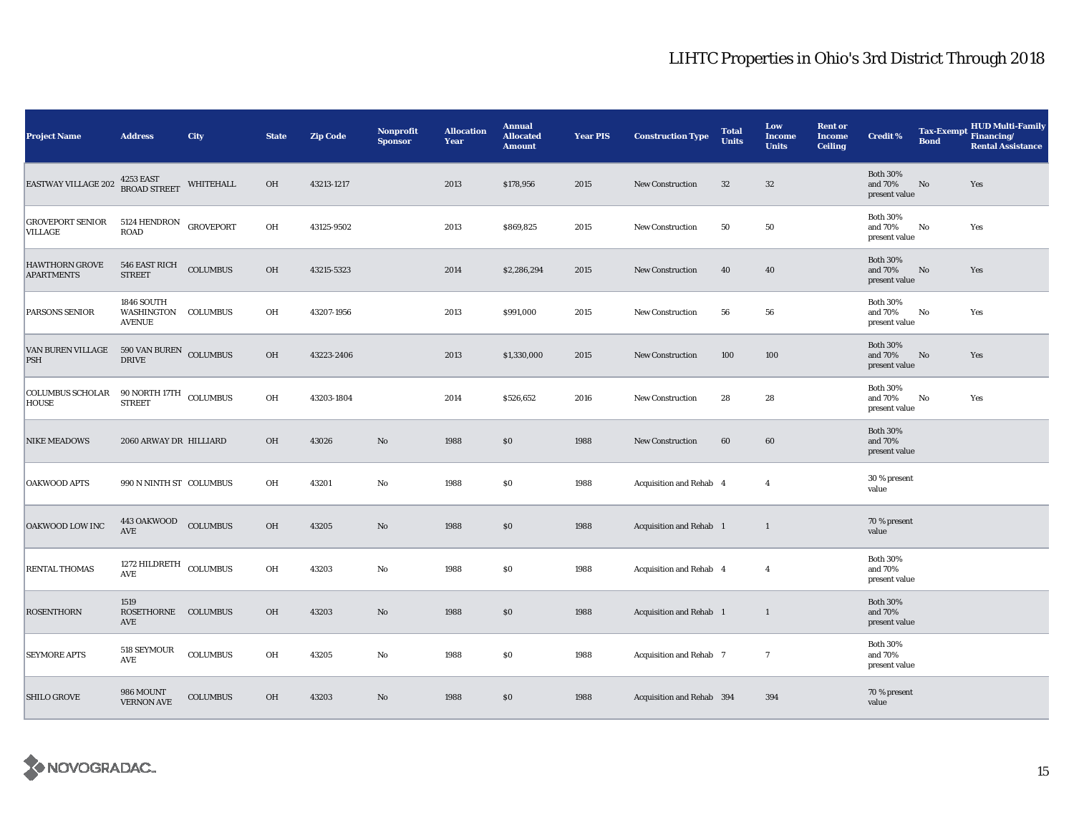| <b>Project Name</b>                                     | <b>Address</b>                                     | City             | <b>State</b> | <b>Zip Code</b> | <b>Nonprofit</b><br><b>Sponsor</b> | <b>Allocation</b><br>Year | <b>Annual</b><br><b>Allocated</b><br><b>Amount</b> | <b>Year PIS</b> | <b>Construction Type</b>  | <b>Total</b><br><b>Units</b> | Low<br><b>Income</b><br><b>Units</b> | <b>Rent or</b><br><b>Income</b><br><b>Ceiling</b> | <b>Credit %</b>                             | Tax-Exempt Financing/<br><b>Bond</b> | <b>HUD Multi-Family</b><br><b>Rental Assistance</b> |
|---------------------------------------------------------|----------------------------------------------------|------------------|--------------|-----------------|------------------------------------|---------------------------|----------------------------------------------------|-----------------|---------------------------|------------------------------|--------------------------------------|---------------------------------------------------|---------------------------------------------|--------------------------------------|-----------------------------------------------------|
| <b>EASTWAY VILLAGE 202</b>                              | 4253 EAST<br>BROAD STREET                          | <b>WHITEHALL</b> | <b>OH</b>    | 43213-1217      |                                    | 2013                      | \$178,956                                          | 2015            | <b>New Construction</b>   | 32                           | 32                                   |                                                   | <b>Both 30%</b><br>and 70%<br>present value | No                                   | Yes                                                 |
| <b>GROVEPORT SENIOR</b><br>VILLAGE                      | 5124 HENDRON<br>ROAD                               | <b>GROVEPORT</b> | OH           | 43125-9502      |                                    | 2013                      | \$869,825                                          | 2015            | <b>New Construction</b>   | 50                           | 50                                   |                                                   | <b>Both 30%</b><br>and 70%<br>present value | No                                   | Yes                                                 |
| <b>HAWTHORN GROVE</b><br><b>APARTMENTS</b>              | 546 EAST RICH<br><b>STREET</b>                     | COLUMBUS         | OH           | 43215-5323      |                                    | 2014                      | \$2,286,294                                        | 2015            | <b>New Construction</b>   | 40                           | 40                                   |                                                   | <b>Both 30%</b><br>and 70%<br>present value | No                                   | Yes                                                 |
| PARSONS SENIOR                                          | 1846 SOUTH<br>WASHINGTON COLUMBUS<br><b>AVENUE</b> |                  | OH           | 43207-1956      |                                    | 2013                      | \$991,000                                          | 2015            | New Construction          | 56                           | 56                                   |                                                   | <b>Both 30%</b><br>and 70%<br>present value | No                                   | Yes                                                 |
| VAN BUREN VILLAGE<br><b>PSH</b>                         | 590 VAN BUREN<br><b>DRIVE</b>                      | <b>COLUMBUS</b>  | OH           | 43223-2406      |                                    | 2013                      | \$1,330,000                                        | 2015            | New Construction          | 100                          | 100                                  |                                                   | <b>Both 30%</b><br>and 70%<br>present value | No                                   | Yes                                                 |
| COLUMBUS SCHOLAR 90 NORTH 17TH COLUMBUS<br><b>HOUSE</b> | <b>STREET</b>                                      |                  | OH           | 43203-1804      |                                    | 2014                      | \$526,652                                          | 2016            | New Construction          | 28                           | 28                                   |                                                   | <b>Both 30%</b><br>and 70%<br>present value | No                                   | Yes                                                 |
| <b>NIKE MEADOWS</b>                                     | 2060 ARWAY DR HILLIARD                             |                  | OH           | 43026           | $\rm No$                           | 1988                      | \$0                                                | 1988            | <b>New Construction</b>   | 60                           | 60                                   |                                                   | <b>Both 30%</b><br>and 70%<br>present value |                                      |                                                     |
| <b>OAKWOOD APTS</b>                                     | 990 N NINTH ST COLUMBUS                            |                  | OH           | 43201           | No                                 | 1988                      | \$0                                                | 1988            | Acquisition and Rehab 4   |                              | $\overline{4}$                       |                                                   | 30 % present<br>value                       |                                      |                                                     |
| OAKWOOD LOW INC                                         | 443 OAKWOOD<br>AVE                                 | <b>COLUMBUS</b>  | OH           | 43205           | $\mathbf{No}$                      | 1988                      | \$0                                                | 1988            | Acquisition and Rehab 1   |                              | $\mathbf{1}$                         |                                                   | 70 % present<br>value                       |                                      |                                                     |
| <b>RENTAL THOMAS</b>                                    | 1272 HILDRETH COLUMBUS<br>AVE                      |                  | OH           | 43203           | No                                 | 1988                      | \$0                                                | 1988            | Acquisition and Rehab 4   |                              | $\overline{4}$                       |                                                   | <b>Both 30%</b><br>and 70%<br>present value |                                      |                                                     |
| <b>ROSENTHORN</b>                                       | 1519<br>ROSETHORNE COLUMBUS<br>AVE                 |                  | OH           | 43203           | $\mathbf{No}$                      | 1988                      | \$0                                                | 1988            | Acquisition and Rehab 1   |                              | $\mathbf{1}$                         |                                                   | <b>Both 30%</b><br>and 70%<br>present value |                                      |                                                     |
| <b>SEYMORE APTS</b>                                     | 518 SEYMOUR<br>AVE                                 | <b>COLUMBUS</b>  | OH           | 43205           | $\mathbf{No}$                      | 1988                      | \$0                                                | 1988            | Acquisition and Rehab 7   |                              | $\boldsymbol{7}$                     |                                                   | <b>Both 30%</b><br>and 70%<br>present value |                                      |                                                     |
| <b>SHILO GROVE</b>                                      | 986 MOUNT<br><b>VERNON AVE</b>                     | <b>COLUMBUS</b>  | OH           | 43203           | No                                 | 1988                      | \$0                                                | 1988            | Acquisition and Rehab 394 |                              | 394                                  |                                                   | 70 % present<br>value                       |                                      |                                                     |

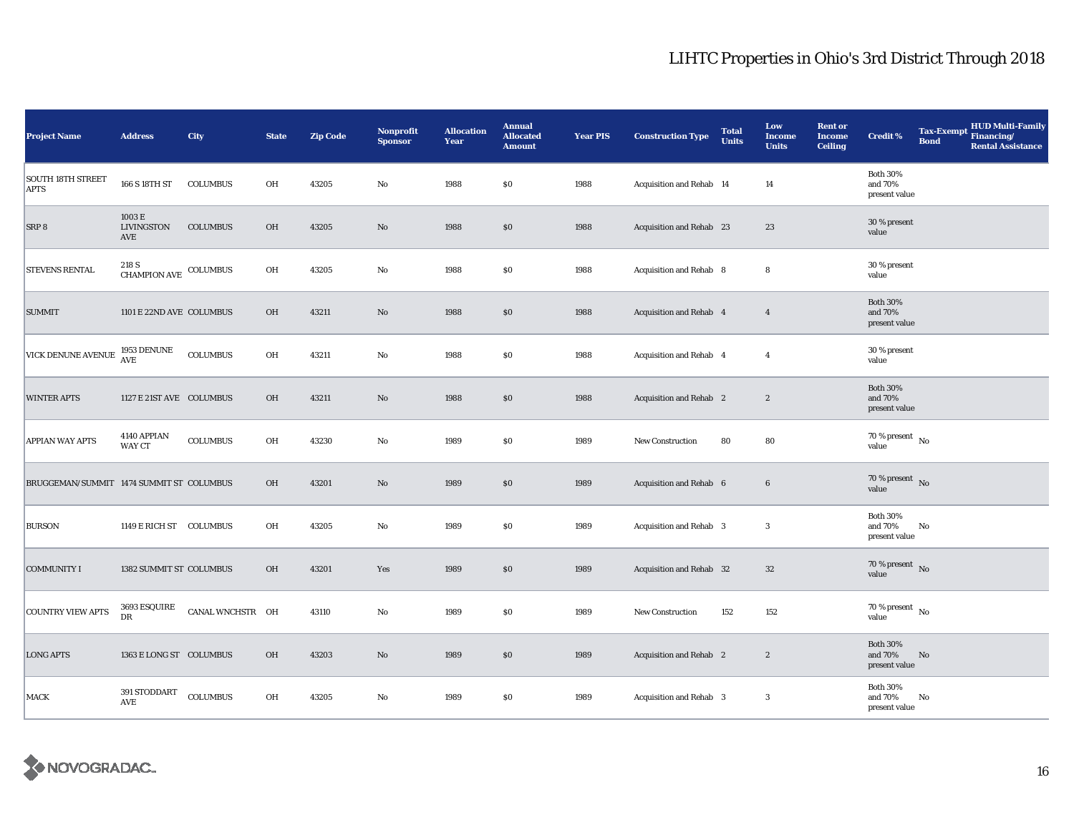| <b>Project Name</b>                      | <b>Address</b>                 | City             | <b>State</b> | <b>Zip Code</b> | Nonprofit<br><b>Sponsor</b> | <b>Allocation</b><br>Year | <b>Annual</b><br><b>Allocated</b><br><b>Amount</b> | <b>Year PIS</b> | <b>Construction Type</b>       | <b>Total</b><br><b>Units</b> | Low<br><b>Income</b><br><b>Units</b> | <b>Rent or</b><br><b>Income</b><br><b>Ceiling</b> | <b>Credit %</b>                             | <b>Tax-Exempt</b><br><b>Bond</b> | HUD Multi-Family<br>Financing/<br><b>Rental Assistance</b> |
|------------------------------------------|--------------------------------|------------------|--------------|-----------------|-----------------------------|---------------------------|----------------------------------------------------|-----------------|--------------------------------|------------------------------|--------------------------------------|---------------------------------------------------|---------------------------------------------|----------------------------------|------------------------------------------------------------|
| <b>SOUTH 18TH STREET</b><br><b>APTS</b>  | 166 S 18TH ST                  | <b>COLUMBUS</b>  | OH           | 43205           | $\rm No$                    | 1988                      | $\$0$                                              | 1988            | Acquisition and Rehab 14       |                              | 14                                   |                                                   | <b>Both 30%</b><br>and 70%<br>present value |                                  |                                                            |
| SRP 8                                    | 1003 E<br>LIVINGSTON<br>AVE    | <b>COLUMBUS</b>  | <b>OH</b>    | 43205           | No                          | 1988                      | $\$0$                                              | 1988            | Acquisition and Rehab 23       |                              | 23                                   |                                                   | 30 % present<br>value                       |                                  |                                                            |
| <b>STEVENS RENTAL</b>                    | 218 S<br>CHAMPION AVE COLUMBUS |                  | OH           | 43205           | $\rm No$                    | 1988                      | $\$0$                                              | 1988            | Acquisition and Rehab 8        |                              | 8                                    |                                                   | 30 % present<br>value                       |                                  |                                                            |
| <b>SUMMIT</b>                            | 1101 E 22ND AVE COLUMBUS       |                  | OH           | 43211           | No                          | 1988                      | \$0                                                | 1988            | Acquisition and Rehab 4        |                              | $\overline{4}$                       |                                                   | <b>Both 30%</b><br>and 70%<br>present value |                                  |                                                            |
| <b>VICK DENUNE AVENUE</b>                | 1953 DENUNE<br>AVE             | <b>COLUMBUS</b>  | OH           | 43211           | $\rm No$                    | 1988                      | \$0                                                | 1988            | Acquisition and Rehab 4        |                              | $\overline{4}$                       |                                                   | 30 % present<br>value                       |                                  |                                                            |
| <b>WINTER APTS</b>                       | 1127 E 21ST AVE COLUMBUS       |                  | OH           | 43211           | No                          | 1988                      | $\$0$                                              | 1988            | Acquisition and Rehab 2        |                              | $\boldsymbol{2}$                     |                                                   | <b>Both 30%</b><br>and 70%<br>present value |                                  |                                                            |
| <b>APPIAN WAY APTS</b>                   | 4140 APPIAN<br>WAY CT          | <b>COLUMBUS</b>  | OH           | 43230           | $\mathbf {No}$              | 1989                      | $\$0$                                              | 1989            | <b>New Construction</b>        | 80                           | 80                                   |                                                   | $70$ % present $\,$ No $\,$<br>value        |                                  |                                                            |
| BRUGGEMAN/SUMMIT 1474 SUMMIT ST COLUMBUS |                                |                  | <b>OH</b>    | 43201           | $\rm No$                    | 1989                      | \$0\$                                              | 1989            | Acquisition and Rehab 6        |                              | $6\phantom{.0}$                      |                                                   | $70\%$ present No<br>value                  |                                  |                                                            |
| <b>BURSON</b>                            | 1149 E RICH ST COLUMBUS        |                  | OH           | 43205           | $\rm No$                    | 1989                      | $\$0$                                              | 1989            | Acquisition and Rehab 3        |                              | $\boldsymbol{3}$                     |                                                   | <b>Both 30%</b><br>and 70%<br>present value | No                               |                                                            |
| <b>COMMUNITY I</b>                       | 1382 SUMMIT ST COLUMBUS        |                  | OH           | 43201           | Yes                         | 1989                      | \$0                                                | 1989            | Acquisition and Rehab 32       |                              | $32\,$                               |                                                   | 70 % present $\hbox{~No}$<br>value          |                                  |                                                            |
| <b>COUNTRY VIEW APTS</b>                 | 3693 ESQUIRE<br><b>DR</b>      | CANAL WNCHSTR OH |              | 43110           | $\mathbf {No}$              | 1989                      | $\$0$                                              | 1989            | <b>New Construction</b>        | 152                          | 152                                  |                                                   | 70 % present $\hbox{~No}$<br>value          |                                  |                                                            |
| <b>LONG APTS</b>                         | 1363 E LONG ST COLUMBUS        |                  | OH           | 43203           | $\rm\thinspace No$          | 1989                      | $\$0$                                              | 1989            | <b>Acquisition and Rehab 2</b> |                              | $\boldsymbol{2}$                     |                                                   | <b>Both 30%</b><br>and 70%<br>present value | No                               |                                                            |
| <b>MACK</b>                              | 391 STODDART<br>AVE            | <b>COLUMBUS</b>  | OH           | 43205           | No                          | 1989                      | $\$0$                                              | 1989            | Acquisition and Rehab 3        |                              | 3                                    |                                                   | <b>Both 30%</b><br>and 70%<br>present value | No                               |                                                            |

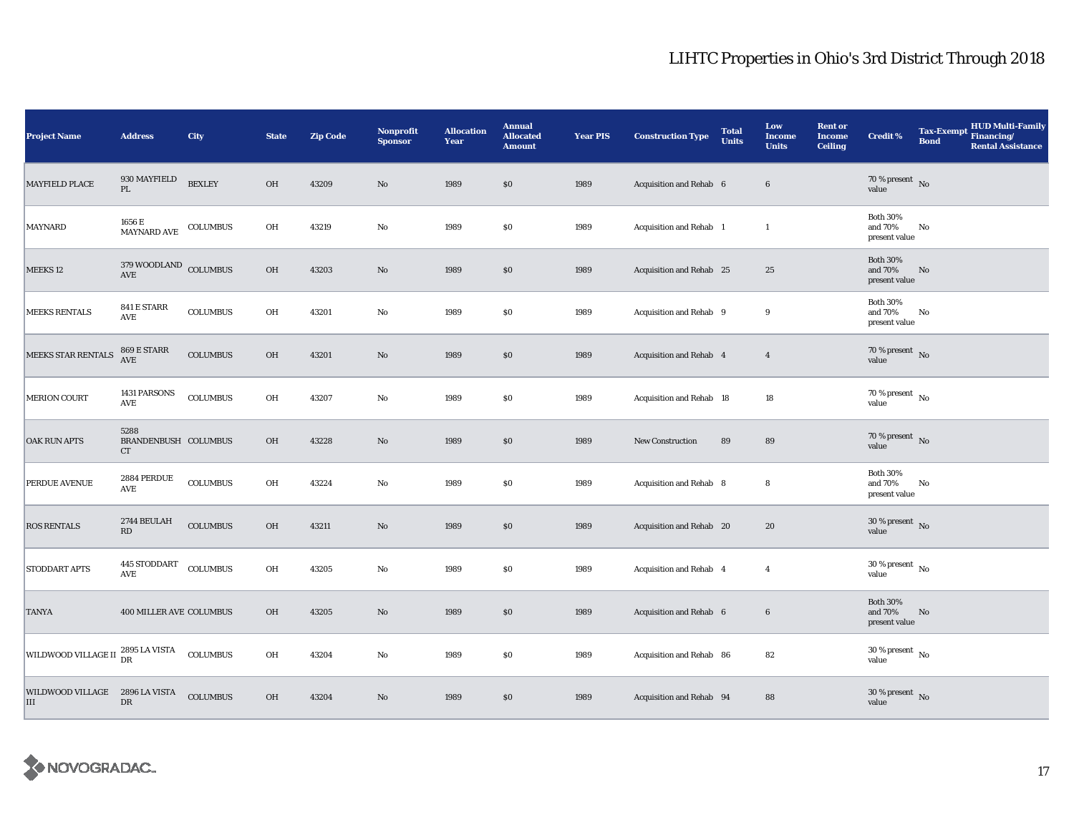| <b>Project Name</b>                   | <b>Address</b>                        | City            | <b>State</b> | <b>Zip Code</b> | Nonprofit<br><b>Sponsor</b> | <b>Allocation</b><br>Year | <b>Annual</b><br><b>Allocated</b><br><b>Amount</b> | <b>Year PIS</b> | <b>Construction Type</b> | <b>Total</b><br><b>Units</b> | Low<br><b>Income</b><br><b>Units</b> | <b>Rent or</b><br><b>Income</b><br><b>Ceiling</b> | <b>Credit %</b>                             | <b>Tax-Exempt</b><br><b>Bond</b> | HUD Multi-Family<br>Financing/<br><b>Rental Assistance</b> |
|---------------------------------------|---------------------------------------|-----------------|--------------|-----------------|-----------------------------|---------------------------|----------------------------------------------------|-----------------|--------------------------|------------------------------|--------------------------------------|---------------------------------------------------|---------------------------------------------|----------------------------------|------------------------------------------------------------|
| <b>MAYFIELD PLACE</b>                 | 930 MAYFIELD<br>$\mathbf{PL}$         | <b>BEXLEY</b>   | OH           | 43209           | $\rm No$                    | 1989                      | \$0\$                                              | 1989            | Acquisition and Rehab 6  |                              | $6\phantom{.0}$                      |                                                   | 70 % present $\hbox{~No}$<br>value          |                                  |                                                            |
| <b>MAYNARD</b>                        | 1656 E<br><b>MAYNARD AVE</b>          | <b>COLUMBUS</b> | OH           | 43219           | $\rm No$                    | 1989                      | $\$0$                                              | 1989            | Acquisition and Rehab 1  |                              | $\mathbf{1}$                         |                                                   | <b>Both 30%</b><br>and 70%<br>present value | No                               |                                                            |
| MEEKS <sub>12</sub>                   | $379\,$ WOODLAND $\,$ COLUMBUS<br>AVE |                 | OH           | 43203           | $\rm No$                    | 1989                      | \$0                                                | 1989            | Acquisition and Rehab 25 |                              | 25                                   |                                                   | <b>Both 30%</b><br>and 70%<br>present value | No                               |                                                            |
| <b>MEEKS RENTALS</b>                  | 841 E STARR<br>$\operatorname{AVE}$   | <b>COLUMBUS</b> | OH           | 43201           | $\rm No$                    | 1989                      | $\$0$                                              | 1989            | Acquisition and Rehab 9  |                              | 9                                    |                                                   | <b>Both 30%</b><br>and 70%<br>present value | No                               |                                                            |
| MEEKS STAR RENTALS                    | 869 E STARR<br>AVE                    | <b>COLUMBUS</b> | OH           | 43201           | $\rm No$                    | 1989                      | $\$0$                                              | 1989            | Acquisition and Rehab 4  |                              | $\overline{4}$                       |                                                   | $70\,\%$ present $\,$ No value              |                                  |                                                            |
| <b>MERION COURT</b>                   | 1431 PARSONS<br>$\operatorname{AVE}$  | <b>COLUMBUS</b> | OH           | 43207           | $\rm No$                    | 1989                      | $\$0$                                              | 1989            | Acquisition and Rehab 18 |                              | 18                                   |                                                   | 70 % present $\hbox{~No}$<br>value          |                                  |                                                            |
| <b>OAK RUN APTS</b>                   | 5288<br>BRANDENBUSH COLUMBUS<br>CT    |                 | OH           | 43228           | $\rm\thinspace No$          | 1989                      | \$0                                                | 1989            | New Construction         | 89                           | 89                                   |                                                   | 70 % present $\hbox{~No}$<br>value          |                                  |                                                            |
| PERDUE AVENUE                         | 2884 PERDUE<br>AVE                    | COLUMBUS        | OH           | 43224           | $\rm No$                    | 1989                      | $\$0$                                              | 1989            | Acquisition and Rehab 8  |                              | 8                                    |                                                   | <b>Both 30%</b><br>and 70%<br>present value | No                               |                                                            |
| <b>ROS RENTALS</b>                    | 2744 BEULAH<br>$\mathbf{R}\mathbf{D}$ | <b>COLUMBUS</b> | OH           | 43211           | $\rm No$                    | 1989                      | $\$0$                                              | 1989            | Acquisition and Rehab 20 |                              | 20                                   |                                                   | $30\%$ present No<br>value                  |                                  |                                                            |
| <b>STODDART APTS</b>                  | 445 STODDART<br>AVE                   | <b>COLUMBUS</b> | OH           | 43205           | $\rm No$                    | 1989                      | $\$0$                                              | 1989            | Acquisition and Rehab 4  |                              | $\overline{4}$                       |                                                   | $30\,\%$ present $\,$ No $\,$<br>value      |                                  |                                                            |
| <b>TANYA</b>                          | 400 MILLER AVE COLUMBUS               |                 | OH           | 43205           | $\rm No$                    | 1989                      | $\$0$                                              | 1989            | Acquisition and Rehab 6  |                              | $6\phantom{.0}$                      |                                                   | <b>Both 30%</b><br>and 70%<br>present value | No                               |                                                            |
| WILDWOOD VILLAGE II 2895 LA VISTA     |                                       | $\sf COLUMBUS$  | OH           | 43204           | $\rm No$                    | 1989                      | $\$0$                                              | 1989            | Acquisition and Rehab 86 |                              | 82                                   |                                                   | $30\,\%$ present $\,$ No value              |                                  |                                                            |
| WILDWOOD VILLAGE 2896 LA VISTA<br>III | DR                                    | <b>COLUMBUS</b> | OH           | 43204           | $\rm No$                    | 1989                      | \$0\$                                              | 1989            | Acquisition and Rehab 94 |                              | 88                                   |                                                   | $30\,\%$ present $\,$ No value              |                                  |                                                            |

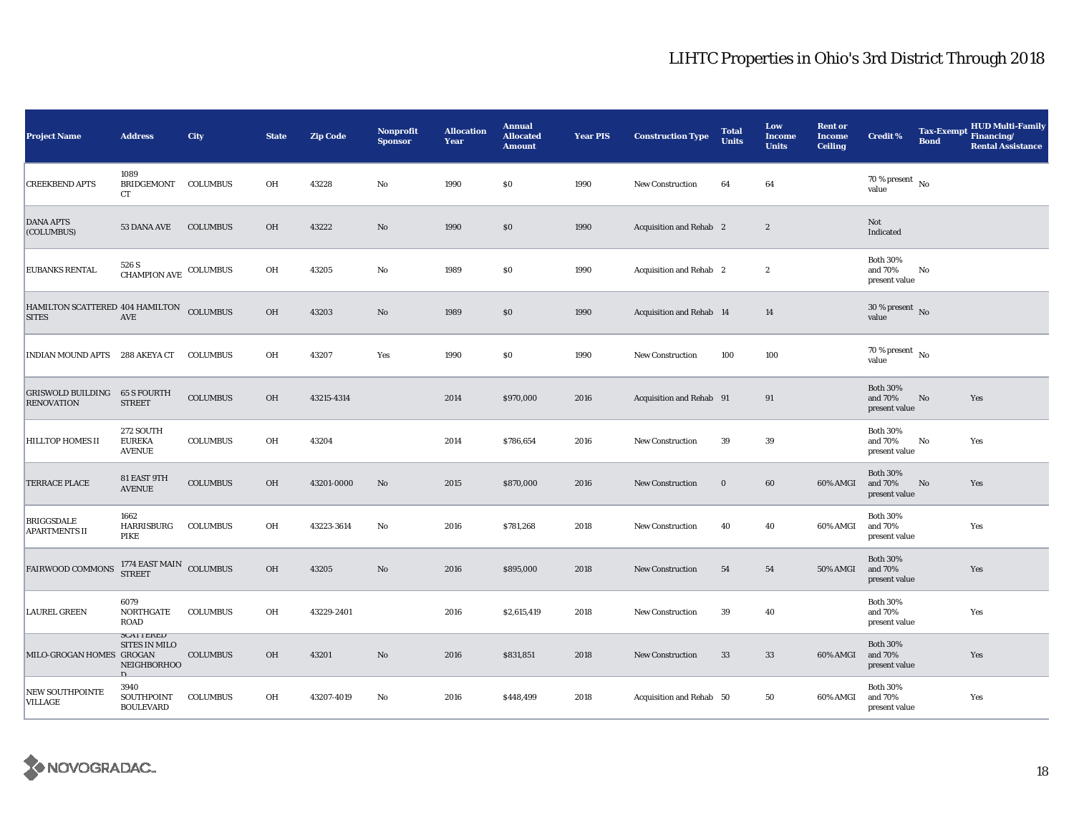| <b>Project Name</b>                             | <b>Address</b>                                          | <b>City</b>     | <b>State</b> | <b>Zip Code</b> | <b>Nonprofit</b><br><b>Sponsor</b> | <b>Allocation</b><br>Year | <b>Annual</b><br><b>Allocated</b><br><b>Amount</b> | <b>Year PIS</b> | <b>Construction Type</b>       | <b>Total</b><br><b>Units</b> | Low<br><b>Income</b><br><b>Units</b> | <b>Rent or</b><br><b>Income</b><br><b>Ceiling</b> | <b>Credit %</b>                             | <b>Tax-Exempt</b><br><b>Bond</b> | <b>HUD Multi-Family</b><br>Financing/<br><b>Rental Assistance</b> |
|-------------------------------------------------|---------------------------------------------------------|-----------------|--------------|-----------------|------------------------------------|---------------------------|----------------------------------------------------|-----------------|--------------------------------|------------------------------|--------------------------------------|---------------------------------------------------|---------------------------------------------|----------------------------------|-------------------------------------------------------------------|
| <b>CREEKBEND APTS</b>                           | 1089<br>BRIDGEMONT COLUMBUS<br>CT                       |                 | OH           | 43228           | $\rm No$                           | 1990                      | \$0                                                | 1990            | <b>New Construction</b>        | 64                           | 64                                   |                                                   | 70 % present $\hbox{~No}$<br>value          |                                  |                                                                   |
| <b>DANA APTS</b><br>(COLUMBUS)                  | 53 DANA AVE                                             | <b>COLUMBUS</b> | OH           | 43222           | No                                 | 1990                      | \$0                                                | 1990            | <b>Acquisition and Rehab 2</b> |                              | $\sqrt{2}$                           |                                                   | Not<br>Indicated                            |                                  |                                                                   |
| <b>EUBANKS RENTAL</b>                           | 526 S<br>$\mbox{CHAMPION}$ AVE $\,$ COLUMBUS            |                 | OH           | 43205           | No                                 | 1989                      | \$0                                                | 1990            | <b>Acquisition and Rehab</b> 2 |                              | $\boldsymbol{2}$                     |                                                   | <b>Both 30%</b><br>and 70%<br>present value | No                               |                                                                   |
| HAMILTON SCATTERED 404 HAMILTON<br><b>SITES</b> | $\operatorname{AVE}$                                    | <b>COLUMBUS</b> | OH           | 43203           | No                                 | 1989                      | \$0                                                | 1990            | Acquisition and Rehab 14       |                              | 14                                   |                                                   | $30\%$ present No<br>value                  |                                  |                                                                   |
| INDIAN MOUND APTS 288 AKEYA CT                  |                                                         | <b>COLUMBUS</b> | OH           | 43207           | Yes                                | 1990                      | \$0                                                | 1990            | New Construction               | 100                          | 100                                  |                                                   | 70 % present $\hbox{~No}$<br>value          |                                  |                                                                   |
| <b>GRISWOLD BUILDING</b><br><b>RENOVATION</b>   | 65 S FOURTH<br><b>STREET</b>                            | <b>COLUMBUS</b> | <b>OH</b>    | 43215-4314      |                                    | 2014                      | \$970,000                                          | 2016            | Acquisition and Rehab 91       |                              | 91                                   |                                                   | <b>Both 30%</b><br>and 70%<br>present value | No                               | Yes                                                               |
| <b>HILLTOP HOMES II</b>                         | 272 SOUTH<br><b>EUREKA</b><br><b>AVENUE</b>             | <b>COLUMBUS</b> | OH           | 43204           |                                    | 2014                      | \$786,654                                          | 2016            | <b>New Construction</b>        | 39                           | 39                                   |                                                   | <b>Both 30%</b><br>and 70%<br>present value | No                               | Yes                                                               |
| <b>TERRACE PLACE</b>                            | 81 EAST 9TH<br><b>AVENUE</b>                            | <b>COLUMBUS</b> | OH           | 43201-0000      | No                                 | 2015                      | \$870,000                                          | 2016            | <b>New Construction</b>        | $\bf{0}$                     | 60                                   | 60% AMGI                                          | <b>Both 30%</b><br>and 70%<br>present value | No                               | Yes                                                               |
| <b>BRIGGSDALE</b><br><b>APARTMENTS II</b>       | 1662<br>HARRISBURG<br>PIKE                              | <b>COLUMBUS</b> | OH           | 43223-3614      | No                                 | 2016                      | \$781,268                                          | 2018            | New Construction               | 40                           | 40                                   | 60% AMGI                                          | <b>Both 30%</b><br>and 70%<br>present value |                                  | Yes                                                               |
| <b>FAIRWOOD COMMONS</b>                         | 1774 EAST MAIN COLUMBUS<br><b>STREET</b>                |                 | OH           | 43205           | $\rm No$                           | 2016                      | \$895,000                                          | 2018            | New Construction               | 54                           | 54                                   | 50% AMGI                                          | <b>Both 30%</b><br>and 70%<br>present value |                                  | Yes                                                               |
| <b>LAUREL GREEN</b>                             | 6079<br>NORTHGATE<br>ROAD                               | <b>COLUMBUS</b> | OH           | 43229-2401      |                                    | 2016                      | \$2,615,419                                        | 2018            | New Construction               | 39                           | 40                                   |                                                   | <b>Both 30%</b><br>and 70%<br>present value |                                  | Yes                                                               |
| MILO-GROGAN HOMES GROGAN                        | <b>SUATTERED</b><br><b>SITES IN MILO</b><br>NEIGHBORHOO | <b>COLUMBUS</b> | OH           | 43201           | No                                 | 2016                      | \$831,851                                          | 2018            | <b>New Construction</b>        | 33                           | 33                                   | 60% AMGI                                          | <b>Both 30%</b><br>and 70%<br>present value |                                  | Yes                                                               |
| NEW SOUTHPOINTE<br>VILLAGE                      | 3940<br><b>SOUTHPOINT</b><br><b>BOULEVARD</b>           | <b>COLUMBUS</b> | OH           | 43207-4019      | No                                 | 2016                      | \$448,499                                          | 2018            | Acquisition and Rehab 50       |                              | 50                                   | 60% AMGI                                          | <b>Both 30%</b><br>and 70%<br>present value |                                  | Yes                                                               |